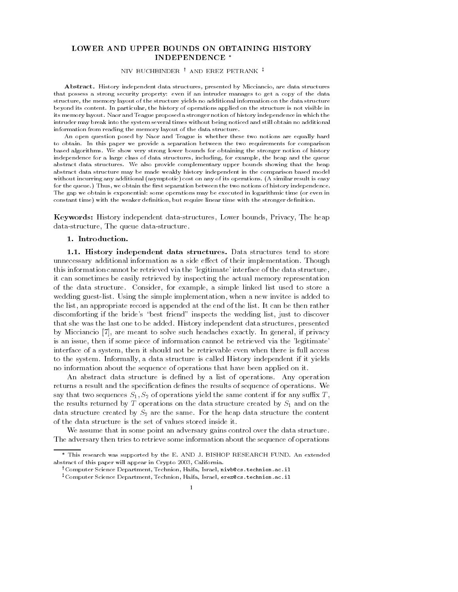# LOWER AND UPPER BOUNDS ON OBTAINING HISTORY INDEPENDENCE

## NIV BUCHBINDER  $\dagger$  and EREZ PETRANK  $\dagger$

Abstract. History independent data structures, presented by Micciancio, are data structures that possess a strong security property: even if an intruder manages to get a copy of the data structure, the memory layout of the structure yields no additional information on the data structure beyond its content- In particular the history of operations applied on the structure is not visible in its memory layout- Naor and Teague proposed a stronger notion of history independence in which the intruder may break into the system several times without being noticed and still obtain no additional information from reading the memory layout of the data structure.

An open question posed by Naor and Teague is whether these two notions are equally hard to obtain- In this paper we provide a separation between the two requirements for comparison based algorithms- We show very strong lower bounds for obtaining the stronger notion of history independence for a large class of data structures, including, for example, the heap and the queue abstract data structures- We also provide complementary upper bounds showing that the heap abstract data structure may be made weakly history independent in the comparison based model with the motion  $\eta$  any additional asymptotic cost on any of its operations- (i.e. completely costs). for the queue- Thus we obtain the rst separation between the two notions of history independence-The gap we obtain is exponential: some operations may be executed in logarithmic time (or even in constant time) with the weaker definition, but require linear time with the stronger definition.

Keywords: History independent data-structures, Lower bounds, Privacy, The heap data-structure, The queue data-structure.

-between the structures-between tend to structures-tend to structures-tend to structures-tend to structures te unnecessary additional information as a side eect of the implementation-their implementation-their implementationthis information cannot be retrieved via the 'legitimate' interface of the data structure, it can sometimes be easily retrieved by inspecting the actual memory representation of the data structure- Consider for example a simple linked list used to store a wedding the simple implementation when a new invite implementation when a new invite invite experimental and to the list an appropriate record is appended at the end of the list- It can be then rather discomforting if the bride's "best friend" inspects the wedding list, just to discover that she was the last one to be added - history independent data structure, presented by Micciancio are meant to solve such headaches exactly- In general if privacy is an issue, then if some piece of information cannot be retrieved via the legitimate' interface of a system, then it should not be retrievable even when there is full access to the system- Informally a data structure is called History independent if it yields no information about the sequence of operations that have been applied on it-

An abstract data structure is de ned by a list of operations- Any operation returns a result and the speci cation de nes the results of sequence of operations- We say that two sequences  $S_1, S_2$  of operations yield the same content if for any suffix T, the results returned by T operations on the data structure created by  $S_1$  and on the data structure created by  $S$  are the same--red the heap data structure the content of the data structure is the set of values stored inside it-

We assume that in some point an adversary gains control over the data structure. The adversary then tries to retrieve some information about the sequence of operations

 $\mathbf{1}$ 

This research was supported by the E- AND J- BISHOP RESEARCH FUND- An extended abstract of this paper will appear in Crypto 2003, California.

<sup>&</sup>lt;sup>†</sup>Computer Science Department, Technion, Haifa, Israel, nivb@cs.technion.ac.il

 $^{\ddagger}$ Computer Science Department, Technion, Haifa, Israel, erez@cs .technion.ac.il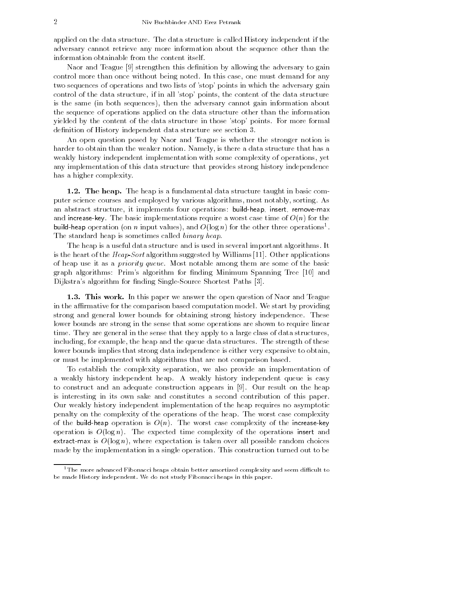applied the data structure-the structure-distribution is called History independent if the structure adversary cannot retrieve any more information about the sequence other than the information obtainable from the content itself.

naor and Teague and Teague and Teague and Teague and Teague and Teague and Teague and Teague and Teague and Te control more than once without being noted- In this case one must demand for any two sequences of operations and two lists of 'stop' points in which the adversary gain control of the data structure, if in all 'stop' points, the content of the data structure is the same (in both sequences), then the adversary cannot gain information about the sequence of operations applied on the data structure other than the information yielded by the content of the data structure in those stop points- For more formal de nition of History independent data structure see section -

An open question posed by Naor and Teague is whether the stronger notion is harder to obtain than the weaker notion- Namely is there a data structure that has a weakly history independent implementation with some complexity of operations yet any implementation of this data structure that provides strong history independence has a higher complexity.

-- The heap- The heap is a fundamental data structure taught in basic com puter science courses and employed by various algorithms most notably sorting- As an abstract structure, it implements four operations: build-heap, insert, remove-max and increase in productions representations require a worst case trire or  $\sigma$  (i) for the  $\mathsf{p}$ uild-neap operation (on n input values), and  $O(\log n)$  for the other three operations . The standard heap is sometimes called *binary heap*.

The heap is a useful data structure and is used in several important algorithms- It is the Heart of the HeapSort algorithm suggests algorithm  $\alpha$  will increase  $\alpha$  and  $\alpha$  is the set of  $\alpha$ of heap use it as a priority queue-them are some of the some of the basic complete among the basic of the basic graph algorithms Prims algorithm for minimum spanning Panning Prims (Primary Primer) nding Singles and Singles Shortest Paths and Singles Shortest Paths and Singles Shortest Paths and Singles Shortest Paths and Singles Shortest Paths and Singles Shortest Paths and Singles Shortest Paths and Singles Shortes

-- This work- In this paper we answer the open question of Naor and Teague in the armative for the comparison based computation model- We start by providing strong and general lower bounds for obtaining strong history independence- These lower bounds are strong in the sense that some operations are shown to require linear time- They are general in the sense that they apply to a large class of data structures including the changer, the heap and the queue data structures-strength of these lower bounds implies that strong data independence is either very expensive to obtain, or must be implemented with algorithms that are not comparison based-

To establish the complexity separation, we also provide an implementation of a weakly history independent heap- A weakly history independent queue is easy to construct and an adequate construction appears in 
 - Our result on the heap is interesting in its own sake and constitutes a second contribution of this paper-Our weakly history independent implementation of the heap requires no asymptotic penalty on the complexity of the operations of the heap- The worst case complexity of the build heap operation is On- International case complement of the increase its, operation is Olivator three chpected thire complement of the operations insert and extract-max is  $O(\log n)$ , where expectation is taken over all possible random choices made by the implementation in a single operation- This construction turned out to be

the more advanced Fibonacci neaps obtain better amortized complexity and seem difficult to the " be made History independent- We do not study Fibonacci heaps in this paper-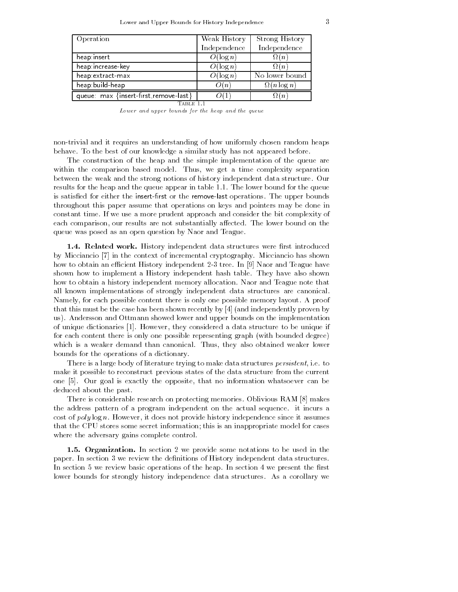| Operation                              | Weak History | Strong History     |
|----------------------------------------|--------------|--------------------|
|                                        | Independence | Independence       |
| heap insert                            | $O(\log n)$  | $\Omega(n)$        |
| heap increase-key                      | $O(\log n)$  | $\Omega(n)$        |
| heap:extract-max                       | $O(\log n)$  | No lower bound     |
| heap build-heap                        | U(n)         | $\Omega(n \log n)$ |
| queue: max {insert-first, remove-last} | 71 L         | $\Omega(n)$        |

TABLE 1.1

Lower and upper bounds for the heap and the queue

non-trivial and it requires an understanding of how uniformly chosen random heaps behave- To the best of our knowledge a similar study has not appeared before-

The construction of the heap and the simple implementation of the queue are with the comparison based model-the comparison based model-the complexity separation based on the complexity separation of the complexity separation of the complexity separation of the complexity separation of the complexi between the weak and the strong notions of history independent data structure- Our results for the heap and the queue appear in table - when the lower states and the guess. is satis ed for either the insertrst or the removelast operations- The upper bounds throughout this paper assume that operations on keys and pointers may be done in constant time- If we use a more prudent approach and consider the bit complexity of each comparison our results are not substantially aected- The lower bound on the queue was posed as an open question by Naor and Teague-

-- Related work- History independent data structures were rst introduced by Micciancio in the context of incremental cryptography- Micciancio has shown how to obtain an ecient History independent  tree- In 
 Naor and Teague have shown how to implement a History independent hash table- They have also shown how to obtain a history independent memory allocation- Naor and Teague note that all known implementations of strongly independent data structures are canonical-Namely for each possible content there is only one possible memory layout- A proof that this must be the case has been shown recently by  $\left[4\right]$  (and independently proven by us- Andersson and Ottmann showed lower and upper bounds on the implementation of unique dictionaries - However they considered a data structure to be unique if for each content there is only one possible representing graph (with bounded degree) which is a weaker demand than canonical-method weaker lower lower weaker weaker lowers also a bounds for the operations of a dictionary-

There is a large body of literature trying to make data structures persistent i-e- to make it possible to reconstruct previous states of the data structure from the current one your comments the ones of provided information when when when when the can be called the can be commented o deduced about the past.

There is considerable research on protecting memories- Oblivious RAM makes the address pattern of a program independent on the actual sequence- it incurs a cost of polynomial from the does not provide military independence since it assumes that the CPU stores some secret information; this is an inappropriate model for cases where the adversary gains complete control.

-- Organization- In section  we provide some notations to be used in the paper-between the decomposition independent data structures-dependent data structures-dependent data structure In section we review basic operations of the heap- In section we present the rst lower bounds for strongly history independence data structures- As a corollary we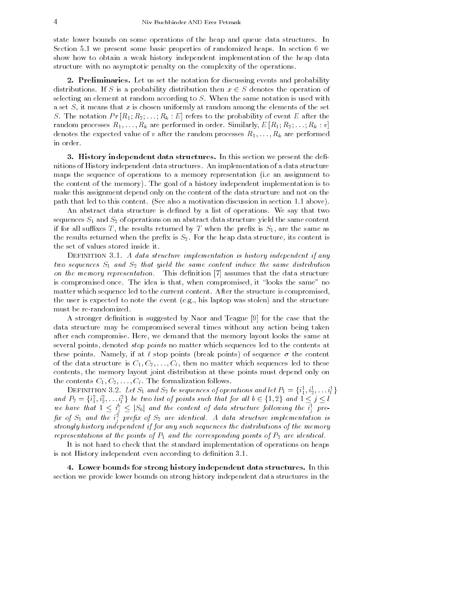state lower bounds on some operations of the heap and queue data structures- In we present some properties and manual properties of randomized healthcare are accepted in the show how to obtain a weak history independent implementation of the heap data structure with no asymptotic penalty on the complexity of the operations-

- Preliminaries- Let us set the notation for discussing events and probability distributions. If S is a probability distribution then  $x \in S$  denotes the operation of selecting an element at random according to S- will the same came notation is used with  $\sim$ a set  $S$ , it means that x is chosen uniformly at random among the elements of the set  $S$ . The notation Pr  $\mu_1, \mu_2, \ldots, \mu_k$  . Equals to the probability of event E after the random processes  $\mathbf{r}_{1}, \ldots, \mathbf{r}_{n}$  are performed in order-similarly;  $\mathbf{r}_{1}, \mathbf{r}_{2}, \ldots, \mathbf{r}_{n}$ denotes the expected value of v after the random processes  $R_1, \ldots, R_k$  are performed in order.

- History independent data structures- In this section we present the de nitions of History independent data structures- An implementation of a data structure maps the sequence of operations to a memory representation i-e an assignment to the content of the memory- and goal of a history independent implementation is to make this assignment depend only on the content of the data structure and not on the path that led to this content- See also a motivation discussion in section - above-

an abstract data structure is defined by a list of operations-well as any that two sequences  $S_1$  and  $S_2$  of operations on an abstract data structure yield the same content  $\mathbf{r}$  for all summer  $\mathbf{r}$  and results returned by T when the premium by  $\mathbf{r}_1$  are the same as the results returned when the premium  $\mathcal{O}_Z$ , is the heap data structure, he content is the set of values stored inside it-

Definition - A data structure implementation is history independent if any two sequences  $S_1$  and  $S_2$  that yield the same content induce the same distribution on the memory representation This design the data structure that the data structure is compromised once-- The idea is that when compromised it looks the same not matter which sequence led to the current content- After the structure is compromised the user is expected to match the event e-question employ was stolen and the structure. must be re-randomized.

A stronger de nition is suggested by Naor and Teague 
 for the case that the data structure may be compromised several times without any action being taken after each compromise- memory at demand that the memory layout looks the same at several points, denoted *stop points* no matter which sequences led to the contents at these points-trainery if at a stop points (signal points) of sequence a the content. of the data structure is  $C_1, C_2, \ldots, C_{\ell}$ , then no matter which sequences led to these contents the memory layout joint distribution at these points must depend only on the contents  $C_1, C_2, \ldots, C_\ell$ . The formalization follows.

DEFINITION 3.2. Let  $S_1$  and  $S_2$  be sequences of operations and let  $P_1 = \{i^1_1, i^1_2, \ldots i^1_l\}$ and  $P_2 = \{i_1^2, i_2^2, \ldots i_l^2\}$  b  $l_1 \ldots, C_{\ell}$ . The formalization follows.<br>
Let  $S_1$  and  $S_2$  be sequences of operations and let  $P_1 = \{i_1^1, i_2^1, \ldots i_l^1\}$ <br>  $\{i_l^2\}$  be two list of points such that for all  $b \in \{1, 2\}$  and  $1 \leq j \leq l$ DEFINITION 3.2. Let  $S_1$  and  $S_2$  be sequences of operations and let  $P_1 = \{i_1^1, i_2^1, \ldots i_l^1\}$ <br>and  $P_2 = \{i_1^2, i_2^2, \ldots i_l^2\}$  be two list of points such that for all  $b \in \{1, 2\}$  and  $1 \leq j \leq l$ <br>we have that  $1 \$ fix of  $S_1$  and the  $\iota_{\bar{i}}^*$  prefix of  $S_2$  are identical. A data structure implementation is strongly history independent if for any such sequences the distributions of the memory representations at the points of  $P_1$  and the corresponding points of  $P_2$  are identical.

It is not hard to check that the standard implementation of operations on heaps is not History independent even according to de nition --

- Lower bounds for strong history independent data structures- In this section we provide lower bounds on strong history independent data structures in the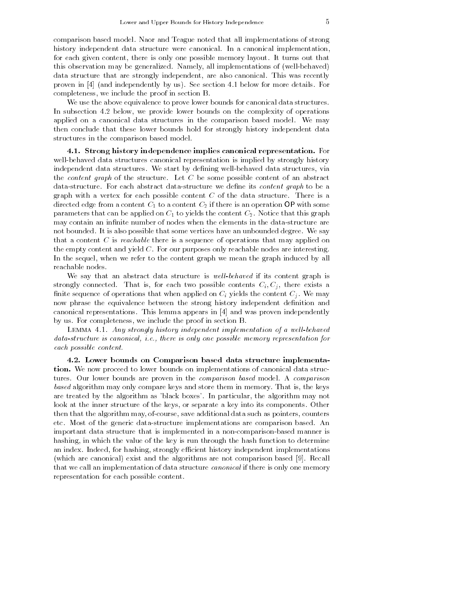comparison based model-based model-based that all implementations of strong that all interests of strong that  $\mathcal{L}_\mathbf{A}$ history independent data structure were canonical- In a canonical implementation for each given content there is only one possible memory layout- It turns out that this observation may be generalized- Namely all implementations of wellbehaved added are structure that the strongly independently into the canonical-method canonical-methods are also calle proven in  $\mathcal{P}_1$  , which independently by us-proven details and details-arranged details- and a completeness, we include the proof in section B.

We use the above equivalence to prove lower bounds for canonical data structures. In subsection - below we provide lower bounds on the complexity of operations applied on a canonical data structures in the comparison based model- We may then conclude that these lower bounds hold for strongly history independent data structures in the comparison based model.

-- Strong history independence implies canonical representation- For well-behaved data structures canonical representation is implied by strongly history independent data structures - well by demonstration structures via structures via structure the content graph of the structure- met  $C$  be some possible content of an abstract  $\sim$ datastructure- For each abstract datastructure we de ne its content graph to be a graph with a vertex for each possible content C of the data structure- files is a directed edge from a content  $C_1$  to a content  $C_2$  if there is an operation OP with some parameters that can be applied on C to yields the content C- Notice that this graph may contain an in nite number of nodes when the elements in the datastructure are not bounded-bounded-bounded-bounded-bounded-bounded-bounded-bounded-bounded degreethat a content C is reachable there is a sequence of operations that may applied on the empty content and yield C- For our purposes only reachable nodes are interesting-In the sequel, when we refer to the content graph we mean the graph induced by all reachable nodes.

We say that an abstract data structure is well-behaved if its content graph is strongly connected. That is, for each two possible contents  $\cup_i, \cup_j$ , there exists a  $\mathbf{m}$  is sequence of operations that when applied on  $\mathcal{C}_l$  yields the content  $\mathcal{C}_l$  . We may now phrase the equivalence between the strong history independent de nition and canonical representations-was represented by proven in  $\vert$  , which was proven independently. by us- For completeness we include the proof in section B-

Lemma - Any strongly history independent implementation of a wel lbehaved  $data-structure$  is canonical, i.e., there is only one possible memory representation for each possible content

-- Lower bounds on Comparison based data structure implementa tion- We now proceed to lower bounds on implementations of canonical data struc tures- Our lower bounds are proven in the comparison based model- A comparison based algorithm may only compare keys and store them in memory- That is the keys are treated by the algorithm as black boxes-the particular the algorithm may not be look at the inner structure of the keys or separate a key into its components- Other then that the algorithm may, of-course, save additional data such as pointers, counters etc- most of the generic data structure implementations are comparing and comparison basedimportant data structure that is implemented in a non-comparison-based manner is hashing, in which the value of the key is run through the hash function to determine an index- Indeed for hashing strongly ecient history independent implementations which are canonical exist and the algorithms are not comparison based of the algorithms are not comparison based of the algorithms are not comparison based of the algorithms are not compared to be a set of the algorithms a that we call an implementation of data structure canonical if there is only one memory representation for each possible content-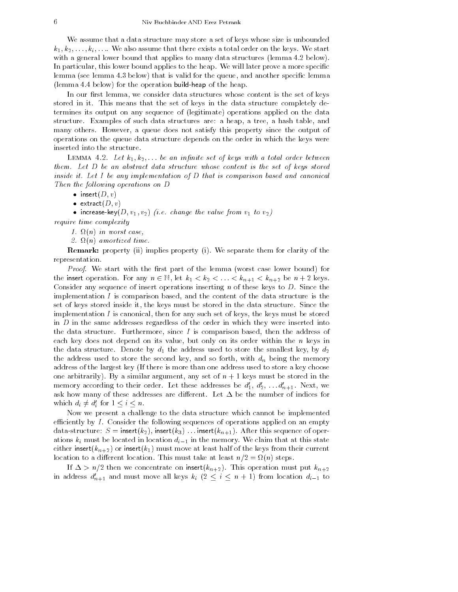We assume that a data structure may store a set of keys whose size is unbounded  $h_1, h_2, \ldots, h_i, \ldots$  we also assume that there exists a total order on the keys. We start with a general lower bound that applies to make  $\mu$  matrix structures lemma - structures lemma . In particular the lower bound applies to the heap- will prove a more prove a more specific the second lemma see lemma - that is valid for the species and and another species and approximate community lemma - below for the operation buildheap of the heap-

In our rst lemma we consider data structures whose content is the set of keys stored in it- This means that the set of keys in the data structure completely de termines its output on any sequence of (legitimate) operations applied on the data structure- Examples of such data structures are a heap a tree a hash table and many others- However a queue does not satisfy this property since the output of operations on the queue data structure depends on the order in which the keys were inserted into the structure.

 $L$ емм $A$  +.2. Let  $\kappa_1, \kappa_2, \ldots$  be an infinite set of  $\kappa$ egs with a total order between them. Let D be an abstract data structure whose content is the set of keys stored inside it. Let  $I$  be any implementation of  $D$  that is comparison based and canonical Then the following operations on  $D$ 

 $\bullet$  insert $(D,v)$ 

 $\bullet$  extract $(D, v)$ 

• increase-key $(D, v_1, v_2)$  (i.e. change the value from  $v_1$  to  $v_2$ ) require time complexity

1.  $\Omega(n)$  in worst case,

2.  $\Omega(n)$  amortized time.

remarks property its them for clarity is the property interest of the clarity of the c representation.

Proof- We start with the rst part of the lemma worst case lower bound for the insert operation. For any  $n \in \mathbb{N}$ , let  $k_1 < k_2 < \ldots < k_{n+1} < k_{n+2}$  be  $n+2$  keys. Consider any sequence of insert operations inserting <sup>n</sup> of these keys to D- Since the implementation  $I$  is comparison based, and the content of the data structure is the set of keys stored inside it the keys must be stored in the data structure- Since the implementation  $I$  is canonical, then for any such set of keys, the keys must be stored in <sup>D</sup> in the same addresses regardless of the order in which they were inserted into the data structure- I distribution, which is to comparison sacted the address of the each key does not depend on its value, but only on its order within the  $n$  keys in the data structure. Denote by  $\alpha_1$  the address used to store the smallest key,  $\alpha_1$   $\alpha_2$ the address used to store the second key, and so forth, with  $d_n$  being the memory address of the largest key (If there is more than one address used to store a key choose one arbitrarily-by a similar argument any set of  $n + x$  if  $x$  and  $y$  be stored in the memory according to their order. Let these addresses be  $a_1, a_2, \ldots a_{n+1}$ . Next, we ask how many of these addresses are dierent- Let be the number of indices for which  $d_i \neq d'_i$  for  $1 \leq i \leq n$ .

Now we present a challenge to the data structure which cannot be implemented exidences, by I- consider the following sequences of operations applied on an empty  $\alpha$  insert  $\alpha$  inserting in the set  $\alpha$  ,  $\alpha$  in the  $\alpha$  interface of  $\alpha$  in the sequence of operation ations  $\kappa_i$  must be located in location  $\alpha_i$   $=$   $\,i$  m the memory-  $\,i$  to claim that at this state  $\mathbf{u}$  insert (wh+2) or insert(w]) made move at least mair or the keys from their current location to a dierent location- This must take at least n n steps-

 $\Gamma$   $\Delta$  /  $n/2$  then we concentrate on insert( $n<sub>n+2</sub>$ ). This operation must put  $n<sub>n+2</sub>$ in address  $d'_{n+1}$  and must move all keys  $k_i$   $(2 \leq i \leq n+1)$  from location  $d_{i-1}$  to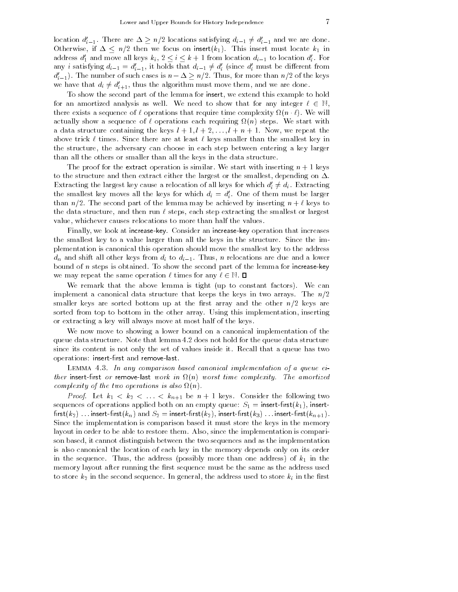location  $d'_{i-1}$ . There are  $\Delta \geq n/2$  locations satisfying  $d_{i-1} \neq d'_{i-1}$  and we are done. Otherwise, if  $\Delta \leq n/2$  then we focus on insert( $k_1$ ). This insert must locate  $k_1$  in address  $d'_1$  and move all keys  $k_i$ ,  $2 \le i \le k+1$  from location  $d_{i-1}$  to location  $d'_i$ . For any *i* satisfying  $d_{i-1} = d'_{i-1}$ , it holds that  $d_{i-1} \neq d'_{i}$  (since  $d'_{i}$  must be different from  $d'_{i-1}$ ). The number of such cases is  $n-\Delta \geq n/2$ . Thus, for more than  $n/2$  of the keys we have that  $d_i \neq d'_{i+1}$ , thus the algorithm must move them, and we are done. i-

To show the second part of the lemma for insert we extend this example to hold for an amortized analysis as well. We need to show that for any integer  $\ell \in \mathbb{N}$ , there exists a sequence of  $\ell$  operations that require time complexity  $\Omega(n-\ell)$ . We will actually show a sequence of a operations each requiring nagle steps. The start with a uata structure containing the  $\kappa$ eys  $i \pm 1, i \pm 2, \ldots, i \pm n \pm 1$ . Thow, we repeat the above trick to thinger binds there are at least to include this small that the sincere in the smaller than the the structure, the adversary can choose in each step between entering a key larger than all the others or smaller than all the keys in the data structure-

The proof for the with  $\bullet\bullet$  operation is similar-to start with inserting  $n + 1$  field to the structure and then extract either the largest or the smallest, depending on  $\Delta$ . Extracting the largest key cause a relocation of all keys for which  $d_i' \neq d_i$ . Extracting the smallest key moves all the keys for which  $a_i \equiv a_i$ . One of them must be larger **in the contract of the contract of the contract of the contract of the contract of the contract of the contract of the contract of the contract of the contract of the contract of the contract of the contract of the contra** than  $\alpha$  is the second part of the feminic may be achieved by inserting  $\alpha$  -  $\alpha$  in  $\beta$ the data structure and then run - steps each step entracting the smallest or largest value, whichever causes relocations to more than half the values.

Finally we look at increasekey- Consider an increasekey operation that increases the smallest key to a value larger than all the keys in the structure- Since the im plementation is canonical this operation should move the smallest key to the address  $\omega_{ll}$  and shift all other hops from  $\omega_{l}$  to  $\omega_{l+1}$ . Thus, it folocations are due and a follow bound of n steps is obtained. To show the second part of the feminity for merchast Key we may repeat the same operation  $\ell$  times for any  $\ell \in \mathbb{N}$ .  $\Box$ 

we remark that the above lemma is tight up to constant factors, we can implement a canonical data structure that keeps the keys in two arrays- The n smaller keys are sorted bottom up at the rst array and the other n keys are sorted from top to bottom in the other array- Using this implementation inserting or extracting a key will always move at most half of the keys-

We now move to showing a lower bound on a canonical implementation of the queue anto that lemma - that lemma - that lemma - the structure data structure data structure since its content is not only the set of values inside it, cleaning inside a queen item that  $\mathbf{r}$ operations: insert-first and remove-last.

LEMMA  $4.3$ . In any comparison based canonical implementation of a queue either insert-first or remove-last work in  $\Omega(n)$  worst time complexity. The amortized complexity of the two operations is also  $\Omega(n)$ .

*Froof*- Let  $k_1 \leq k_2 \leq \ldots \leq k_{n+1}$  be  $n+1$  keys. Consider the following two sequences of operations applied both on an empty queue:  $S_1 =$  insert-first $(k_1)$ , insertrstk --- insertrstkn and S insertrstk insertrstk --- insertrstkn- -Since the implementation is comparison based it must store the keys in the memory layout in order to be able to restore them- Also since the implementation is compari son based, it cannot distinguish between the two sequences and as the implementation is also canonical the location of each key in the memory depends only on its order in the sequence- Thus the address possibly more than one address of k in the memory layout after running the rst sequence must be the same as the address used to store  $\kappa_2$  in the second sequence- in general, the address document  $\kappa_i$  in the mot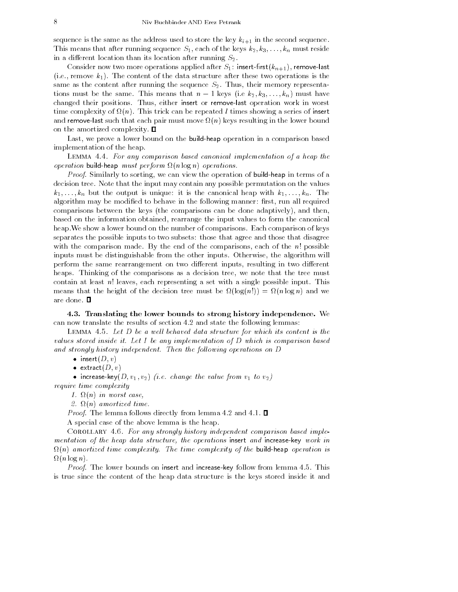sequence is the same as the address used to store the key ki- in the second sequence-This means that after running sequence  $S_1$ , each of the keys  $k_2, k_3, \ldots, k_n$  must reside in a different location than its location after running  $S_2$ .

 $\sim$  consider now two more operations applied after  $\mathcal{S}_1$  , then  $\mathbf{v}_i$  insert function and i-e- remove k- The content of the data structure after these two operations is the same as the content after running the sequence  $\omega_2$ . Thus, then memory representation tions must be the same. This means that  $n-1$  keys (i.e  $k_2, k_3, \ldots, k_n$ ) must have changed their positions- Thus either insert or removelast operation work in worst time compleme, of  $\mathbf{r}_{\text{eff}}$  fried this time showing a series showing a series of insert and remove-last such that each pair must move  $\Omega(n)$  keys resulting in the lower bound on the amount the amortized complexity and  $\mathcal{L}_{\mathcal{A}}$ 

Last, we prove a lower bound on the build-heap operation in a comparison based implementation of the heap.

LEMMA 4.4. For any comparison based canonical implementation of a heap the operation build-heap must perform  $\Omega(n \log n)$  operations.

Proof- Similarly to sorting we can view the operation of buildheap in terms of a decision tree-that the input may contain any product permutation any product on the values.  $\mathcal{N}_1,\ldots,\mathcal{N}_n$  but the output is unique. It is the canonical heap with  $\mathcal{N}_1,\ldots,\mathcal{N}_n$ . The radiction may be modified in the following manner in the following manner in the following manner in comparisons between the keys (the comparisons can be done adaptively), and then, based on the information obtained, rearrange the input values to form the canonical heap-We show a lower bound on the number of comparisons- Each comparison of keys separates the possible inputs to two subsets: those that agree and those that disagree with the comparison made, by the character comparisons, case of the n possible inputs must be distinguishable from the other inputs- Otherwise the algorithm will perform the same rearrangement on two different inputs, resulting in two different heaps- Thinking of the comparisons as a decision tree we note that the tree must contain at least n leaves each case is presenting a set with a single possible input. This means that the height of the decision tree must be  $\Omega(\log(n)) = \Omega(n \log n)$  and we

-- Translating the lower bounds to strong history independence- We can now translate the results of sections reposition and results of contractions

LEMMA  $4.5$ . Let  $D$  be a well behaved data structure for which its content is the values stored inside it. Let  $I$  be any implementation of  $D$  which is comparison based and strongly history independent. Then the following operations on  $D$ 

 $\bullet$  insert $(D, v)$ 

 $\bullet$  extract $(D, v)$ 

 $\bullet$  increase-key $(D, v_1, v_2)$  (i.e. change the value from  $v_1$  to  $v_2$ ) require time complexity

1.  $\Omega(n)$  in worst case,

2.  $\Omega(n)$  amortized time.

Proof- The lemma follows directly from lemma - and --

A special case of the above lemma is the heap.

COROLLARY 4.6. For any strongly history independent comparison based implementation of the heap data structure, the operations insert and increase-key work in  $\Omega(n)$  amortized time complexity. The time complexity of the build-heap operation is  $\Omega(n \log n)$ .

ricipal ment bounds of dimensional contracts on inserting for increase the common ment of more and a is true since the content of the heap data structure is the keys stored inside it and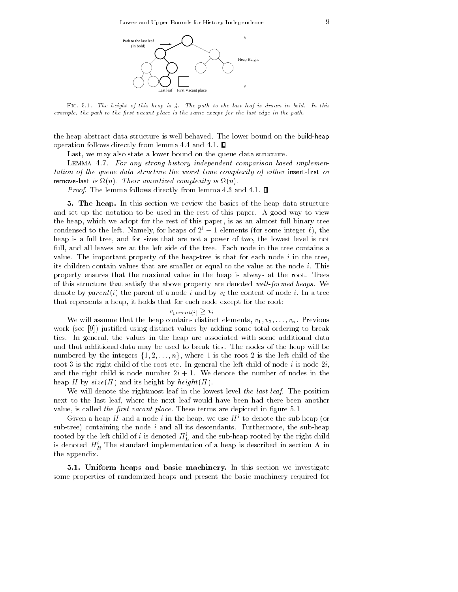

FIG. 5.1. The height of this heap is 4. The path to the last leaf is drawn in bold. In this example- the path to the rst vacant place is the same except for the last edge in the path

the heap document during structure is well behaved-up that is well been the buildheap the buildheap operation follows directly from lemma - and --

Last, we may also state a lower bound on the queue data structure.

LEMMA 4.7. For any strong history independent comparison based implementation of the queue data structure the worst time complexity of either insert-first or remove-last is  $\Omega(n)$ . Their amortized complexity is  $\Omega(n)$ .

Proof- The lemma follows directly from lemma - and --

- The heap- In this section we review the basics of the heap data structure and set up the notation to be used in the rest of this paper- A good way to view the heap, which we adopt for the rest of this paper, is as an almost full binary tree condensed to the left. Namely, for heaps of  $2^{\ell} - 1$  elements (for some integer  $\ell$ ), the heap is a full tree, and for sizes that are not a power of two, the lowest level is not full and all leaves are at the left side of the tree- Each node in the tree contains a value- The important property of the heap tree is that for each headth that the theory its children contain values that are strained the company to the value at the node i- reflect property ensures that the maximal value in the heap is always at the root- Trees of the structure that satisfy the above property are denoted well lformed health  $\sim$ denote by parently the parent of a hode  $\epsilon$  and by vi the content of node  $\epsilon$  . In a tree that represents a heap, it holds that for each node except for the root:

## $v_{parent(i)} \geq v_i$

We will assume that the heap contains distinct elements,  $v_1, v_2, \ldots, v_n$ . I fevrous work see the lands seems and using the contract ordering to be added to break and the some ordering to break a ties- In general the values in the heap are associated with some additional data and that additional data may be used to break ties- which the head to be used the  $\sim$ numbered by the integers  $\{1, 2, \ldots, n\}$ , where 1 is the root 2 is the left child of the root o no the right child of the root etc. In general the fert child of house t so house my and the right child is house number at  $\vert$  at the denote the number of nodes in the side heap H by  $size(H)$  and its height by  $height(H)$ .

with the most leaf-denote the lowest level the lowest level the lowest level  $\mathbb P$  is the leaf-denoted the last leafnext to the last leaf where the next leaf would have been had there been another value is called the -rst vacant place- These terms are depicted in gure -

Given a heap H and a node i in the heap, we use  $H^i$  to denote the sub-heap (or subtree containing the node i and all its descendants- i all internative the substance rooted by the left child of  $i$  is denoted  $H_L^+$  and the sub-neap rooted by the right child is denoted  $H_R^c$  The standard implementation of a heap is described in section A in the appendix-

-- Uniform heaps and basic machinery- In this section we investigate some properties of randomized heaps and present the basic machinery required for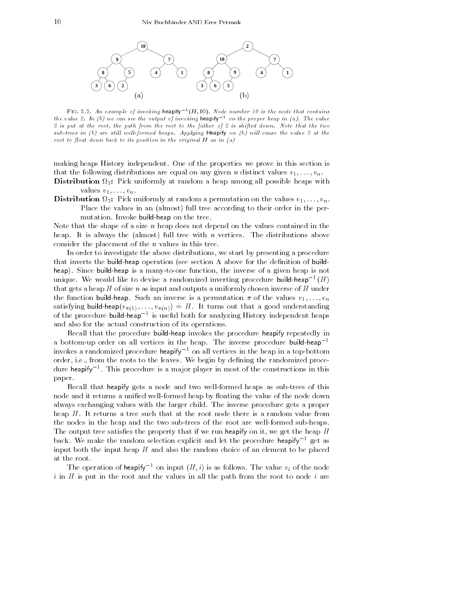

FIG. 5.2. An example of invoking **heapify** "(H, 10). Node number 10 is the node that contains the value 2. In (b) we can see the output of invoking heapify<sup>-1</sup> on the proper heap in (a). The value is the path from the path from the root-to the father of dougles down note that the two two sub-trees in (b) are still well-formed heaps. Applying Heapify on (b) will cause the value 2 at the root to get he had to its position in the original He as in any  $\pi$ 

making heaps making independent-of the properties we prove in the section is the section in that the following distributions are equal on any given n distinct values  $v_1, \ldots, v_n$ . **Distribution**  $\Omega_1$ : Pick uniformly at random a heap among all possible heaps with

values  $v_1, \ldots, v_n$ .

**Distribution**  $\Omega$ <sub>2</sub>: Pick uniformly at random a permutation on the values  $v_1, \ldots, v_n$ . Place the values in an (almost) full tree according to their order in the permutation- Invoke buildheap on the tree-

Note that the shape of a size  $n$  heap does not depend on the values contained in the heap- It is always the almost full tree with <sup>n</sup> vertices- The distributions above consider the placement of the  $n$  values in this tree.

In order to investigate the above distributions we start by presenting a procedure that inverts the buildheap operation see section A above for the de nition of build heap- Since buildheap is a manytoone function the inverse of a given heap is not unique. We would like to devise a randomized inverting procedure build-neap  $^-(\Pi)$ that gets a heap  $H$  of size n as input and outputs a uniformly chosen inverse of  $H$  under the function build-heap. Such an inverse is a permutation  $\pi$  or the values  $v_1, \ldots, v_n$ satisfying build-neap( $v_{\pi(1)}, \ldots, v_{\pi(n)}$ ) = 11. It turns out that a good understanding of the procedure build-neap – is useful both for analyzing History independent heaps – and also for the actual construction of its operations-

Recall that the procedure build-heap invokes the procedure heapify repeatedly in a bottom-up order on all vertices in the heap. The inverse procedure build-neap f invokes a randomized procedure n**eap**ify - on all vertices in the heap in a top-pottom e-corder i-corder i-corder i-corder i-corder i-corder and corder i-corder i-corder i-corder i-corder i-corder dure neapify full into procedure is a major player in most of the constructions in this paper.

Recall that heapify gets a node and two wellformed heaps as subtrees of this node and it returns a uni ed wellformed heap by oating the value of the node down always exchanging values with the larger children provesses procedure gets a proper heap H- It returns a tree such that at the root node that a random value from value  $\sim$ the nodes in the heap and the two sub-trees of the root are well-formed sub-heaps. The supput tree satisfies the property that if we run heapify on it, we get the heap if pack. We make the random selection explicit and let the procedure **neapify** - get as input both the input heap  $H$  and also the random choice of an element to be placed at the root.

The operation of neapily  $\tau$  on input  $(H, i)$  is as follows. The value  $v_i$  of the node i in <sup>H</sup> is put in the root and the values in all the path from the root to node <sup>i</sup> are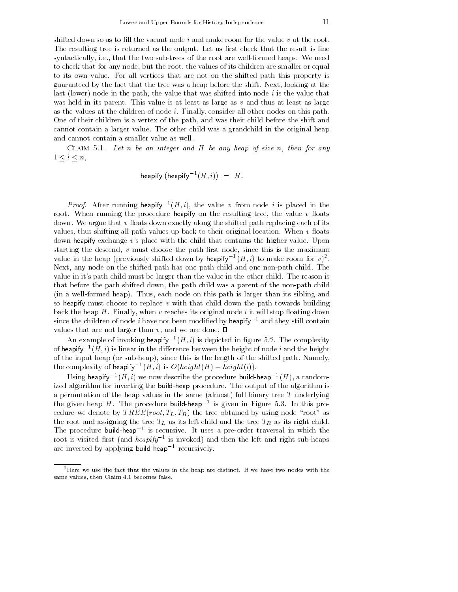rst returning tree is returned as the output- me from the result is result in result is fine. e-groot that the two subtrees of the root are wellformed health in the root the two substrees of the root of t to check that for any node, but the root, the values of its children are smaller or equal to its own value- For all vertices that are not on the shifted path this property is guaranteed by the fact that the tree was a heap before the shift-the street the shiftlast (lower) node in the path, the value that was shifted into node  $i$  is the value that was held in its parent-held wide is at least as large as the contraction of the least as large as the values at the children of hour of filmity consider all other hours on this path-One of their children is a vertex of the path and was their child before the shift and cannot contain a larger value-larger value-larger value-larger value-larger value-larger value-larger value-la and cannot contain a smaller value as well.

Caiming 3.1. How it we are energer and if we any neap of size it, where for any  $1 \leq i \leq n$ ,

$$
\mathsf{heapify}\; \big(\mathsf{heapify}^{-1}(H, i)\big) \;=\; H.
$$

*Proof*. After running neapify  $\lceil (H, t) \rceil$  the value v from node i is placed in the root: "Then running the procedure heapify on the resulting tree; the Twile v heats down-we argue that v house down that all along the shifted path replacing each of its values, thus shifting all path values up back to their original location. Their t-house down heapify chemings of place with the child that contains the ingher value- open starting the descend v must choose the path must node, shrew the maximum is the maximum value in the heap (previously shifted down by neapify  $(H, i)$  to make room for  $v)$  . Next any node on the shifted path has one path child and one nonpath child- The value in its path child must be larger than the value in the other child- The reason is that before the path shifted down, the path child was a parent of the non-path child in a wellformed heap- Thus each node on this path is larger than its sibling and so heapify must choose to replace  $v$  with that child down the path towards building back the heap H- Finally when <sup>v</sup> reaches its original node <sup>i</sup> it will stop oating down  $\sin$ ce the children of node  $i$  have not been modified by  $\texttt{neap}$ ify  $\|\cdot\|$  and they still contain values that are not larger than  $\epsilon_+$  and we are done.

An example of invoking neapify  $\lceil (H,i) \rceil$  is depicted in ligure 5.2. The complexity of neapify  $\lceil (n, i) \rceil$  is tinear in the difference between the height of node  $i$  and the height of the input heap or subheap since this is the length of the shifted path- Namely the complexity of heapify<sup>-1</sup>(*H*, *i*) is  $O(height(H) - height(i))$ .

Using neapily  $\lceil (H, t) \rceil$  we now describe the procedure build-neap  $\lceil (H, t) \rceil$ , a randomized algorithm for inverting the buildheap procedure- The output of the algorithm is a permutation of the heap values in the same (almost) full binary tree  $T$  underlying the given neap  $H$  . The procedure build-neap  $\bar{\ }$  is given in Figure 5.5. In this procedure we denote by  $TREE(root, T_L, T_R)$  the tree obtained by using node "root" as the root and assigning the tree  $T_L$  as its left child and the tree  $T_R$  as its right child. The procedure buildheap- is recursive- It uses a preorder traversal in which the root is visited hrst (and  $neapij$   $\tau$  is invoked) and then the left and right sub-neaps  $$ are inverted by applying build-neap - recursively.

There we use the fact that the values in the heap are distinct. If we have two nodes with the  $\,$ same values then Claim - becomes false-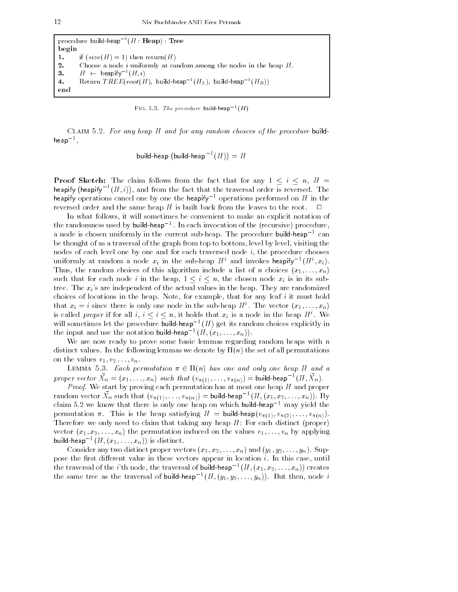procedure pulle-neap  $\lceil H \rceil$  :  $\mathbf H$ eap): Tree begin $1.$  $\mu$  is equally  $\mu$  if then return  $\mu$  is -Choose a node  $i$  uniformly at random among the nodes in the heap  $H$ . 3.  $H \leftarrow$  heapify  $(H, i)$  $\overline{4}$  Return T REErootH- buildheap HL- buildheap HR-end

FIG. 5.3. The procedure <code>build-heap  $^+(H)$ </code>

CLAIM  $5.2$ . For any heap H and for any random choices of the procedure buildneap<sup>-</sup>,

build-heap (build-heap $^{-1}(H))=H$ 

**Proof Sketch:** The claim follows from the fact that for any  $1 \le i \le n$ ,  $H =$ heapify (heapify $^{-1}(H,i)$ ), and from the fact that the traversal order is reversed. The  $\epsilon$  neapify operations cancel one by one the heapify- operations performed on  $H$  in the reversed order and the same heap  $H$  is built back from the leaves to the root.

In what follows it will sometimes be convenient to make an explicit notation of the randomness used by punc-neap- - . In each invocation of the trecursive) procedure, the a node is chosen uniformly in the current sub-neap. The procedure build-n**eap** – can be thought of as a traversal of the graph from top to bottom, level by level, visiting the nodes of each level one by one and for each traversed node  $i$ , the procedure chooses uniformly at random a node  $x_i$  in the sub-neap  $H^+$  and invokes heapify  $\lceil (H^+,x_i) \rceil$ . Thus, the random choices of this algorithm include a list of n choices  $(x_1, \ldots, x_n)$ such that for each node i in the heap,  $1 \leq i \leq n$ , the chosen node  $x_i$  is in its subtree- The xis are independent of the actual values in the heap- They are randomized choices of locations in the heap- froth for chairpic, that for any leaf the index hold that  $x_i = i$  since there is only one node in the sub-heap H  $\vdots$  . The vector  $(x_1, \ldots, x_n)$ is called *proper* if for all  $i, i \leq i \leq n$ , it holds that  $x_i$  is a node in the heap  $H^i$ . We will sometimes let the procedure  $\mathsf{p}$ uild-neap $^{-}(H)$  get its random choices explicitly in  $$ the input and use the notation build-neap  $\tau(H, (x_1, \ldots, x_n)).$ 

We are now ready to prove some basic lemmas regarding random heaps with  $n$ distinct values-in the following lemmas we denote by infly the set of all permutations on the values  $v_1, v_2, \ldots, v_n$ .

LEMMA 5.3. Each permutation  $\pi \in \Pi(n)$  has one and only one heap H and a proper vector  $X_n = (x_1, \ldots, x_n)$  such that  $(v_{\pi(1)}, \ldots, v_{\pi(n)}) =$  build-heap  $\lceil (H, X_n) \rceil$ .

Proof- We start by proving each permutation has at most one heap <sup>H</sup> and proper random vector  $X_n$  such that  $(v_{\pi(1)}, \ldots, v_{\pi(n)}) =$  build-heap  $^{-}(H, (x_1, x_2, \ldots, x_n))$ . By claim 5.2 we know that there is only one heap on which build-neap - may yield the permutation  $\pi$ . This is the heap satisfying  $H =$  build-neap( $v_{\pi(1)}, v_{\pi(2)}, \ldots, v_{\pi(n)}$ ). Therefore we only need to claim that taking any heap  $H$ : For each distinct (proper) vector  $(x_1, x_2, \ldots, x_n)$  the permutation induced on the values  $v_1, \ldots, v_n$  by applying build-neap  $\lceil (H_1, (x_1, \ldots, x_n)) \rceil$  is distinct.

Consider any two distinct proper vectors  $(x_1, x_2, \ldots, x_n)$  and  $(y_1, y_2, \ldots, y_n)$ . Buppose une mis anterent fange in these fectors appear in location of this case, and the the traversal of the  $i$  th node, the traversal of build-neap  $\lnot (H, (x_1, x_2, \ldots, x_n))$  creates the same tree as the traversal of build-neap  $[(H,(y_1,y_2,\ldots,y_n))]$ . But then, node  $i$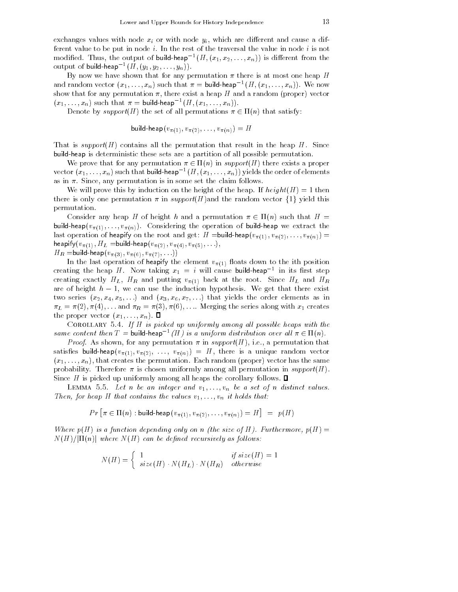exchanges values with node  $x_i$  or with node  $y_i$ , which are different and cause a different value to be put in node i- in the the rest of the travelent the value in node t-in note modified. Thus, the output of build-neap  $^-(H,(x_1,x_2,\ldots,x_n))$  is different from the output of build-neap  $^{-}(H,(y_1,y_2,\ldots,y_n))$ .

By now we have shown that for any permutation  $\pi$  there is at most one heap H and random vector  $(x_1, \ldots, x_n)$  such that  $\pi = \text{build-}$  neap  $\lnot (H, (x_1, \ldots, x_n))$ . We now show that for any permutation  $\pi$ , there exist a heap H and a random (proper) vector  $(x_1, \ldots, x_n)$  such that  $\pi = \text{build-heap}^{-}(H, (x_1, \ldots, x_n)).$ 

Denote by support(H) the set of all permutations  $\pi \in \Pi(n)$  that satisfy:

build-heap $(v_{\pi(1)}, v_{\pi(2)}, \ldots, v_{\pi(n)}) = H$ 

That is supported contains all the permutation that result in the head H- since build-heap is deterministic these sets are a partition of all possible permutation.

We prove that for any permutation  $\pi \in \Pi(n)$  in support $(H)$  there exists a proper vector  $(x_1, \ldots, x_n)$  such that build-neap  $^{-}(H, (x_1, \ldots, x_n))$  yields the order of elements as in 81 any permutation is in some set the claim follows

 $\mathcal{W}$  will prove this by induction on the height of the heap- if  $\mathcal{W}$  (if  $\mathcal{W}$ there is only one permutation  $\pi$  in support(H) and the random vector  $\{1\}$  yield this permutation-

Consider any heap H of height h and a permutation  $\pi \in \Pi(n)$  such that  $H =$ build-lieap( $v_{\pi(1)}, \ldots, v_{\pi(n)}$ ). Considering the operation of build-lieap we extract the last operation of heapify on the root and get:  $H =$ build-heap $(v_{\pi(1)}, v_{\pi(2)}, \ldots, v_{\pi(n)}) =$ heapify $(v_{\pi(1)}, H_L =$ build-heap $(v_{\pi(2)}, v_{\pi(4)}, v_{\pi(5)}, \ldots),$ 

$$
H_R=\textsf{build}\text{-}\textsf{heap}(v_{\pi(3)},v_{\pi(6)},v_{\pi(7)},\ldots))
$$

In the last operation of heapify the element  $v_{\pi(1)}$  floats down to the ith position creating the neap  $H$ . Now taking  $x_1 = i$  will cause build-neap  $\overline{\phantom{x}}$  in its lifst step creating exactly  $H$   $\mu$  and putting v back at the root. Since  $H$  and  $H$ are of height  $h-1$ , we can use the induction hypothesis. We get that there exist two series  $(x_2, x_4, x_5, \ldots)$  and  $(x_3, x_6, x_7, \ldots)$  that yields the order elements as in  $n_L = n(2), n(\pm), \ldots$  and  $n_R = n(0), n(0), \ldots$  with  $n_R$  and series along with  $x_L$  creates  $\mathfrak{m}$  proper vector  $\{x_1, \ldots, x_n\}$ .  $\blacksquare$ 

COROLLARY  $5.4$ . If H is picked up uniformly among all possible heaps with the same content then  $T =$  build-heap<sup>-1</sup> (H) is a uniform distribution over all  $\pi \in \Pi(n)$ .

e-coop- in the three cases will permutation in me cupportles profit to permutation that the satisfies build-fieap( $v_{\pi(1)}, v_{\pi(2)}, \ldots, v_{\pi(n)}$ ) = 11, there is a unique random vector  $(x_1, \ldots, x_n)$ , that creates the permutation. Each random (proper) vector has the same probability- Therefore a is chosen uniformly among all permutation in supporter  $\mu$ Since <sup>H</sup> is picked up uniformly among all heaps the corollary follows-

LEMMA 5.5. Let n be an integer and  $v_1, \ldots, v_n$  be a set of n distinct values. Then, for heap H that contains the values  $v_1, \ldots, v_n$  it holds that:

$$
Pr\left[\pi \in \Pi(n) : \text{build-heap}(v_{\pi(1)}, v_{\pi(2)}, \dots, v_{\pi(n)}) = H\right] = p(H)
$$

Where  $p(H)$  is a function depending only on n (the size of H). Furthermore,  $p(H)$  =  $N(H)/|\Pi(n)|$  where  $N(H)$  can be defined recursively as follows:

$$
N(H) = \begin{cases} 1 & if \text{ size}(H) = 1 \\ size(H) \cdot N(H_L) \cdot N(H_R) & otherwise \end{cases}
$$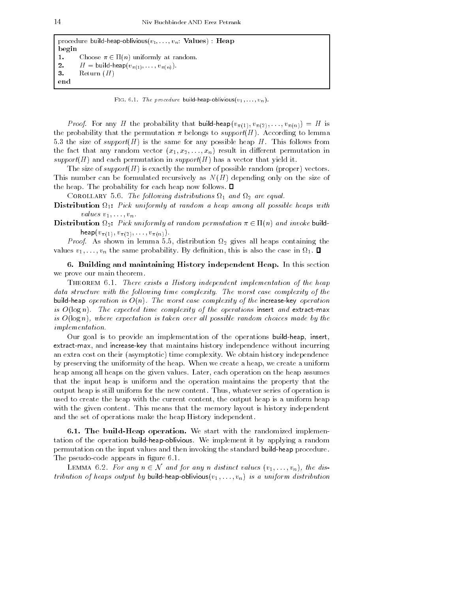```
procedure build-heap-oblivious(v_1, \ldots, v_n. Values). Heap
begin1.Choose \pi \in \Pi(n) uniformly at random.
-
          \mathbf{u} \mathbf{v} \mathbf{v} \mathbf{v} \mathbf{v} \mathbf{v} \mathbf{v} \mathbf{v} \mathbf{v} \mathbf{v} \mathbf{v} \mathbf{v} \mathbf{v} \mathbf{v} \mathbf{v} \mathbf{v} \mathbf{v} \mathbf{v} \mathbf{v} \mathbf{v} \mathbf{v} \mathbf{v} \mathbf{v} \mathbf{v} \mathbf{3.Return (H)end
```
FIG. 6.1. *The procedure* build-neap-oblivious( $v_1, \ldots, v_n$ ).

*Froof*-For any H the probability that build-neap( $v_{\pi(1)}, v_{\pi(2)}, \ldots, v_{\pi(n)}) = H$  is the probability that the permutation is belongs to supportH- ( incoditing to femma olo and show of supposition is the same for any possible heap in this follows from the same  $\sim$ the fact that any random vector  $(x_1, x_2, \ldots, x_n)$  result in different permutation in support(H) and each permutation in support(H) has a vector that yield it.

The size of support(H) is exactly the number of possible random (proper) vectors. This number can be formulated recursively as  $N(H)$  depending only on the size of the heap- The probability for each heap now follows-

COROLLARY 5.6. The following distributions  $\Omega_1$  and  $\Omega_2$  are equal.

**Distribution**  $\Omega_1$ : Pick uniformly at random a heap among all possible heaps with values  $v_1, \ldots, v_n$ .

Distribution  $\Omega_2$ : Pick uniformly at random permutation  $\pi \in \Pi(n)$  and invoke buildheap $(v_{\pi(1)}, v_{\pi(2)}, \ldots, v_{\pi(n)})$ .

Proof- As shown in lemma - distribution gives all heaps containing the values  $v_1, \ldots, v_n$  the same probability. By definition, this is also the case in  $\mathfrak{u}_1$ .  $\blacksquare$ 

- Building and maintaining History independent Heap- In this section we prove our main theorem.

**Theorem 0.1.** Include *allows* a History macponable implementation of the heap data structure with the following time complexity. The worst case complexity of the build-heap operation is  $O(n)$ . The worst case complexity of the increase-key operation is  $O(\log n)$ . The expected time complexity of the operations insert and extract-max is  $O(log n)$ , where expectation is taken over all possible random choices made by the implementation

Our goal is to provide an implementation of the operations build-heap, insert, extract-max, and increase-key that maintains history independence without incurring an extra cost on their particle time cost independence to the complexity- independence of  $\sim$ by preserving the uniformity of the heap- When we create a heap we create a uniform heap among all heaps on the given values- Later each operation on the heap assumes that the input heap is uniform and the operation maintains the property that the output heap is still uniform for the new content- Thus whatever series of operation is used to create the heap with the current content, the output heap is a uniform heap with the given content-that the means that the memory layout is history independent of the memory layout is hi and the set of operations make the heap History independent.

-- The buildHeap operation- We start with the randomized implemen tation of the operation buildheapoblivious- We implement it by applying a random permutation on the input values and then invoking the standard build-heap procedure. The pseudocode appears in the pseudocode appears in the pseudocode appears in the pseudocode appears in the pseudocode appears in the pseudocode appears in the control of the pseudocode appears in the control of the contro

LEMMA 6.2. For any  $n \in \mathcal{N}$  and for any n distinct values  $(v_1, \ldots, v_n)$ , the distribution of heaps output by build-heap-oblivious $(v_1, \ldots, v_n)$  is a uniform distribution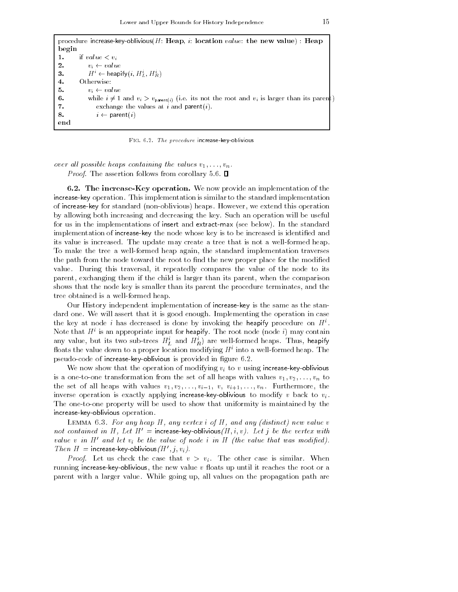procedure increase-key-obliviousH Heap i location value, the new value-  $\bf{H}$ eap  $\bf{H}$ begin $1.$ if  $value < v_i$  $v_i \leftarrow value$  $\overline{\mathbf{3}}$ .  $H^i \leftarrow$  heapify $(i, H^i_L, H^i_R)$  $\overline{4}$  Otherwise  $\bf 5$  .  $v_i \leftarrow value$ 6. while  $i \neq 1$  and  $v_i > v_{\text{parent}(i)}$  (i.e. its not the root and  $v_i$  is larger than its parent)  $\bf 7$  .  $\epsilon$ xchange the values at  $\iota$  and parenti $\iota$ . 8.  $i \leftarrow$  parent $(i)$ end

Fig - The procedure increasekeyoblivious

over all possible heaps containing the values  $v_1, \ldots, v_n$ . Proof- The assertion follows from corollary --

-- The increaseKey operation- We now provide an implementation of the increase in plant in this implementation is similar to the standard implementation in the standard implementatio of increasekey for standard nonoblivious heaps- However we extend this operation by allowing both increasing and decreasing the key- Such an operation will be useful for us in the implementations of insert and extractmax see below- In the standard implementation of increasekey the node whose key is to be increased is identi ed and its value is increased- The update may create a tree that is not a wellformed heap-To make the tree a well-formed heap again, the standard implementation traverses the path from the node toward the new place the model the new proper place for the model  $\alpha$ value- During this traversal it repeatedly compares the value of the node to its parent, exchanging them if the child is larger than its parent, when the comparison shows that the node key is smaller than its parent the procedure terminates, and the tree obtained is a well-formed heap.

Our History independent implementation of increasekey is the same as the stan dard one-that it is good enough-that it is good enough-that it is good enough-the operation in case of the operation in case of the operation in case of the operation in case of the operation in case of the operation in ca the key at node  $i$  has decreased is done by invoking the neapify procedure on  $H^+$ . Note that  $H^+$  is an appropriate input for neapify. The root node (node  $i$ ) may contain any value, but its two sub-trees  $H_L$  and  $H_R$ ) are well-formed heaps. Thus, heapify hoats the value down to a proper location modifying  $\pi^+$  mto a well-formed heap. The  $$ pseudocode of increase in provided in provided in April 1121

We now show that the operation of modifying  $v_i$  to v using increase-key-oblivious is a one-to-one transformation from the set of all heaps with values  $v_1, v_2, \ldots, v_n$  to the set of an heaps while values  $v_1, v_2, \ldots, v_{i-1}, v, v_{i+1}, \ldots, v_n$ . Furthermore, the inverse operation is exactly applying increase-key-oblivious to modify v back to  $v_i$ . The one-to-one property will be used to show that uniformity is maintained by the increase-key-oblivious operation.

LEMMA 6.3. For any heap H, any vertex i of H, and any (distinct) new value v not contained in H, Let  $H'$  = increase-key-oblivious( $H, i, v$ ). Let j be the vertex with value v in  $H$  -and let  $v_i$  be the value of node i in  $H$  (the value that was modified). Then  $H =$  increase-key-oblivious  $(H', j, v_i)$ .

Proof- Let us check the case that  $v > v_1$ . The stimit case is similar- when running increase-key-oblivious, the new value v floats up until it reaches the root or a parent with a larger value- While going up all values on the propagation path are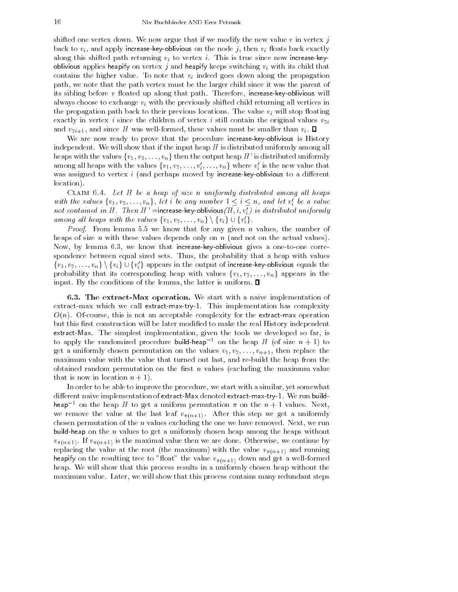we now are vertex down. We now we modify the new modify the new vertex  $j$ back to  $v_i$ , and apply increase-key-oblivious on the node j, then  $v_i$  floats back exactly along this shifted path returning vi to vertex i- This is true since hen increase now oblivious applies heapify on vertex j and heapify keeps switching  $v_i$  with its child that contains the higher value. To note that  $\tau_i$  indeed goes down along the propagation path, we note that the path vertex must be the larger child since it was the parent of its sibling before <sup>v</sup> oated up along that path- Therefore increasekeyoblivious will always choose to exchange  $v_i$  with the previously shifted child returning all vertices in the propagation path back to their previous locations- The value vi will stop oating exactly in vertex i since the children of vertex i still contain the original values  $v_{2i}$ and  $\frac{1}{2}$  ,  $\frac{1}{2}$  which since it was well-formed these values be smaller than  $\frac{1}{2}$  .

We are now ready to prove that the procedure increase-key-oblivious is History independent-me will show that if the input heap H is distributed uniformly will show and heaps with the values  $\{v_1, v_2, \ldots, v_n\}$  then the output heap H' is distributed uniformly among all heaps with the values  $\{v_1, v_2, \ldots, v'_i, \ldots, v_n\}$  where  $v'_i$  is the new value that was assigned to vertex  $i$  (and perhaps moved by increase-key-oblivious to a different  $location)$ .

CLAIM  $6.4$ . Let H be a heap of size n uniformly distributed among all heaps with the values  $\{v_1, v_2, \ldots, v_n\}$ , let i be any number  $1 \le i \le n$ , and let  $v'_i$  be a value not contained in H Then  $H$  =increase-key-oblivious  $(H, i, v_i)$  is distributed uniformly among all heaps with the values  $\{v_1, v_2, \ldots, v_n\} \setminus \{v_i\} \cup \{v_i'\}$ .

rection recent formation of a we have the number of the number of the number of the second state of the second heaps of size n with these values depends only on  $n$  (and not on the actual values). Now by lemma - we know that increasekeyoblivious gives a onetoone corre spondence between equal sized sets- Thus the probability that a heap with values  $\{v_1, v_2, \ldots, v_n\} \setminus \{v_i\} \cup \{v'_i\}$  appears in the output of increase-key-oblivious equals the probability that its corresponding heap with values  $\{v_1, v_2, \ldots, v_n\}$  appears in the input- By the conditions of the lemma the latter is uniform-

-- The extractMax operation- We start with a naive implementation of extraction complexity with the called the call the complex complexity complexity that the complexity of the complexity Only the course, this is not the acceptable complement for the extraction operation but this rst construction will be later modi ed to make the real History independent extract common the simplest implementation given the tools we developed so far is  $\mathbb{R}^n$ to apply the randomized procedure **pu**ild-neap  $\leq$  on the heap  $H$  (of size  $n + 1$ ) to get a uniformly chosen permutation on the values  $v_1, v_2, \ldots, v_{n+1}$ , then replace the maximum value with the value that turned out last, and re-build the heap from the obtained random permutation on the maximum personance the maximum values of that is now in location  $n + 1$ .

In order to be able to improve the procedure, we start with a similar, yet somewhat adierent die run builden of extraction of extraction of extraction extractions are as a construction of the st  $\mathsf{heap}$  - on the heap  $H$  to get a uniform permutation  $\pi$  on the  $n+1$  values. Ivext, we remove the value at the last leaf  $\frac{1}{n+1}$ . This step we get a uniformly chosen permutation of the n values excluding the site we have removed-call from the run build-heap on the *n* values to get a uniformly chosen heap among the heaps without  $\mathbb{P}^n$  is the maximal value that we are done. Otherwise, we continue by reproding the value at the root (the maximum) with the value v<sub>n-11</sub> with running  $\sum_{n=1}^{\infty}$  on the resulting tree to one the value  $\sum_{n=1}^{\infty}$   $\sum_{n=1}^{\infty}$  and  $\sum_{n=1}^{\infty}$ heap- We will show that this process results in a uniformly chosen heap without the maximum value- Later we will show that this process contains many redundant steps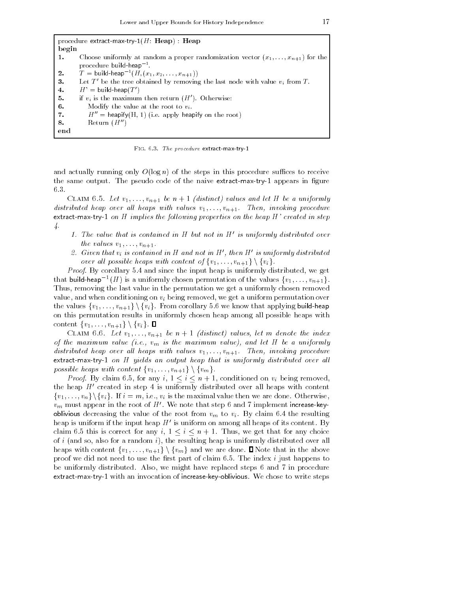$\mathsf{p}_1$  occulie extractmax-try-Ti $\bm{\mu}$  . Heap- Heapbegin $1.$ Choose uniformly at random a proper randomization vector  $(x_1, \ldots, x_{n+1})$  for the procedure build-neap fill - $I =$  DUIIG-neap  $\lceil H, (x_1, x_2, \ldots, x_{n+1}) \rceil$ 3. Let T - be the tree obtained by removing the last node with value  $v_i$  from T.  $\bf{4}$  $H^+ =$  build-neap(1) -5. If  $v_i$  is the maximum then return  $(H_+)$ . Otherwise:  $6.$ Modify the value at the root to  $v_i$ .  $\overline{7}$ .  $H_{-}$  = neapify(H, 1) (i.e. apply neapify on the root) 8. Return H--end

rig. 6.3. *The procedure* extract max try 1

and actually running only  $O(\log n)$  of the steps in this procedure suffices to receive the same code of the pseudo code of the naive extractment  $\mathbf{r}_f$  appears in inguite 63

CLAIM  $\cup$ . Let  $v_1, \ldots, v_{n+1}$  be  $n+1$  (assumer) balaes and let H be a uniformly  $a$  and  $b$  are  $b$  over an incups with values  $v_1, \ldots, v_{n+1}$ . Then, invoking procedure extract maxt the  $\frac{1}{2}$  can H implies the following properties on the heap H created in step  $\frac{1}{4}$ .

- 1. The value that is contained in  $H$  but not in  $H'$  is uniformly distributed over the values  $v_1, \ldots, v_{n+1}$ .
- 2. Given that  $v_i$  is contained in H and not in H', then H' is uniformly distributed over all possible heaps with content of  $\{v_1, \ldots, v_{n+1}\} \setminus \{v_i\}$ .

Proof- By corollary - and since the input heap is uniformly distributed we get that build-heap<sup>-1</sup>(H) is a uniformly chosen permutation of the values  $\{v_1, \ldots, v_{n+1}\}$ . Thus, removing the last value in the permutation we get a uniformly chosen removed value, and when conditioning on  $v_i$  being removed, we get a uniform permutation over the values  $\{v_1, \ldots, v_{n+1}\} \setminus \{v_i\}$ . From corollary 5.6 we know that applying build-heap on this permutation results in uniformly chosen heap among all possible heaps with content  $\{v_1, \ldots, v_{n+1}\} \setminus \{v_i\}$ .  $\Box$ 

CLAIM  $v.v.$  Let  $v_1, \ldots, v_{n+1}$  be  $n+1$  (assumer) values, let m denote the index of the maximum value (i.e.,  $v_m$  is the maximum value), and let H be a uniformly  $a$  and  $b$  are  $b$  over an incups with values  $v_1, \ldots, v_{n+1}$ . Then, invoking procedure extract-max-try-1 on  $H$  yields an output heap that is uniformly distributed over all possible heaps with content  $\{v_1, \ldots, v_{n+1}\} \setminus \{v_m\}$ .

*Proof.* By claim 6.5, for any i,  $1 \le i \le n+1$ , conditioned on  $v_i$  being removed, the heap  $H'$  created in step 4 is uniformly distributed over all heaps with content  $\{v_1, \ldots, v_n\} \setminus \{v_i\}$ . If  $i = m$ , i.e.,  $v_i$  is the maximal value then we are done. Otherwise,  $v_m$  must appear in the root of  $H$  . We note that step 0 and  $\iota$  implement increase-key- $\ldots$  the root colling the value of the root from  $\mathbf{v}_H$  to  $\mathbf{v}_I$ . By claim off the resulting neap is uniform if the input heap  $H$  is uniform on among all heaps of its content. By  $\,$ claim 6.5 this is correct for any i  $1 \le i \le n+1$ . Thus, we get that for any choice of i (and so, also for a random i), the resulting heap is uniformly distributed over all heaps with content  $\{v_1, \ldots, v_{n+1}\} \setminus \{v_m\}$  and we are done.  $\blacksquare$  Note that in the above proof we did not need to dee the most part of claim over the material part moppone to be uniformly distributed- Also we might have replaced steps and in procedure extract than the chose the invocation of increase in  $\mu$  chose to increase to write steps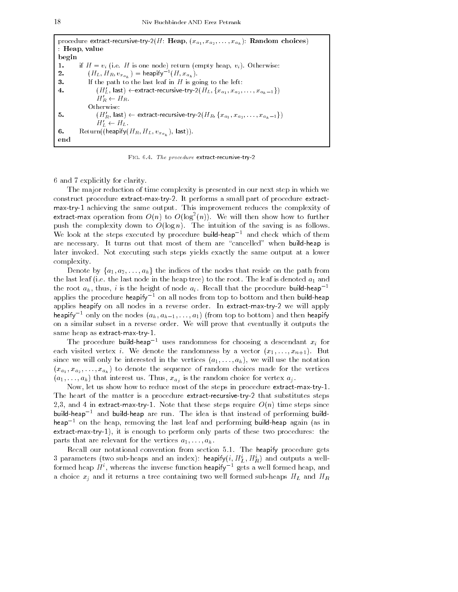procedure extract-recursive-try- $z(u: \textbf{freq}), (x_{a_1}, x_{a_2}, \ldots, x_{a_h})$ . Kandom choices) Heap value begin- $v_i$  (i.e. *H* is one node) return (empty neap,  $v_i$ ). Otherwise, - $(H_L, H_R, v_{x_{a_h}}) =$  neapiry  $\lceil (H, x_{a_h}) \rceil$ .  $\overline{\mathbf{3}}$ . If the path to the last leaf in  $H$  is going to the left: 4.  $(H'_L,$  last $) \leftarrow$ extract-recursive-try-2 $(H_L, \{x_{a_1}, x_{a_2}, \ldots, x_{a_h-1}\})$  $H_R \leftarrow H_R$ . Otherwise $\bf 5$  .  $(H_R', \text{ last}) \leftarrow \text{extract-recursive-try-2}(H_R, \{x_{a_1}, x_{a_2}, \ldots, x_{a_h-1}\})$  $H_L \leftarrow H_L$ .  $6.$  $\ldots$ end

Fig. 6.4. The procedure extract-recursive-try-2

6 and 7 explicitly for clarity.

The major reduction of time complexity is presented in our next step in which we construct procedure extract their copyright partners a second part of procedure extraction maxtry achieving the same output-achieving improvement reduces the complexity of extract-max operation from  $O(n)$  to  $O(\log(n))$  . We will then show how to further push the compleme, down to Ollogwith Life intuition of the saving is as follows: We look at the steps executed by procedure build-neap - and check which of themare are constructed are cancelled when the most of the most outcome is the most of the most of the second when later invoked- Not executing such steps yields exactly the same output at a lower complexity-

Denote by  $\{a_1, a_2, \ldots, a_h\}$  the indices of the nodes that reside on the path from ere last leaf i-c- the last head in the heap tree, to the root. The leaf is deficied a paid the root  $a_h$  , thus,  $i$  is the height of node  $a_i$ . Recall that the procedure build-neap  $\bar{\ }$ applies the procedure neapity - on all nodes from top to bottom and then build-neap applies heapify on all nodes in a reverse order-formation in all  $\mathcal{I} = \{1,2,3,4\}$  $\mathsf{mean}(S)$  - only on the nodes  $\{a_h, a_{h-1}, \ldots, a_1\}$  (from top to bottom) and then  $\mathsf{mean}(S)$ on a similar subset in a reverse order- We will prove that eventually it outputs the same heap as extract-max-try-1.

The procedure build-neap  $\bar{\ }$  uses randomness for choosing a descendant  $x_i$  for each visited vertex  $i$ . We denote the randomness by a vector  $\{x_1, \ldots, x_{n+1}\}$ . Dut since we will only be interested in the vertices  $(a_1, \ldots, a_h)$ , we will use the notation  $(x_{a_1}, x_{a_2}, \ldots, x_{a_h})$  to denote the sequence of random choices made for the vertices  $\{a_1,\ldots,a_h\}$  that interest us. Thus,  $a_{a_i}$  is the random choice for vertex  $a_j$ .

Now, let us show how to reduce most of the steps in procedure extract-max-try-1. The heart of the matter is a procedure extract-recursive-try-2 that substitutes steps  $\blacksquare$  , which is an extracted that the these steps since steps require  $\bigcirc$  ,  $\lnot\iota$  , since steps since pund-neap - and pund-neap are run. The idea is that instead of performing pundneap – on the heap, removing the last leaf and performing build-neap again (as in extract-max-try-1), it is enough to perform only parts of these two procedures: the parts that are relevant for the vertices  $a_1, \ldots, a_h$ .

Recall our notational convention from section -- The heapify procedure gets  $\sigma$  parameters (two sub-neaps and an index): neaphy( $\imath, H_L, H_R$ ) and outputs a wellformed heap  $\pi$  , whereas the inverse function **heap**ify - gets a well formed heap, and a choice  $x_j$  and it returns a tree containing two well formed sub-heaps  $H_L$  and  $H_R$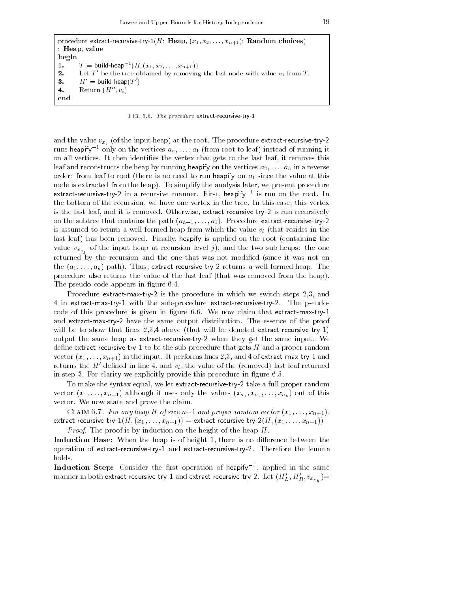procedure extract-recursive-try- $1$ (H Heap,  $(x_1, x_2, \ldots, x_{n+1})$ ). **I**Calitudin Choices) Heap value begin-- $I =$  build-neap  $[(H, (x_1, x_2, \ldots, x_{n+1}))]$ -- Let T - be the tree obtained by removing the last node with value  $v_i$  from T. 3.  $H^+ =$  build-heapt  $T^+$  $\bf{4}$ Return  $(H_-, v_i)$ end

FIG  $6.5$  . The procedure <code>extract-recurs</code>ive-try-1

and the value  $v_{x_i}$  (or the input heap) at the root. The procedure extract (contents ti)  $\pm$ runs neapify  $\,$  - only on the vertices  $a_h$  ,  $\ldots$  ,  $a_1$  (from root to leaf) instead of running it  $\,$ on all vertices-then identifies-then identifies that gets the vertex that gets that gets the last leaf it removes the vertex that gets the vertex that gets the vertex that gets the vertex the vertex that gets the vertex of leaf and reconstructs the heap by running heapify on the vertices  $a_2, \ldots, a_h$  in a reverse order: from leaf to root (there is no need to run heapify on  $a_1$  since the value at this node is extracted from the heap-line is extracted from the analysis later we present procedure procedure procedure extract-recursive-try-z in a recursive manner. First, neapify fils run on the root. In the bottom of the recursion we have one vertex in the tree- In this case this vertex is the last leaf and it is removed- Otherwise extractrecursivetry is run recursively on the subtree that contains the path  $\{a_{h-1},\ldots,a_1\}$ . I focedure extract-recursive-try-z is assumed to return a well-formed heap from which the value  $v_i$  (that resides in the last least from the removed-the removed-the root is applied on the root from the root  $\alpha$ value  $v_{x_{a_i}}$  of the input heap at recursion level j), and the two sub-heaps: the one returned by the recursion and the one that was not modi ed since it was not on  $\{a_1, \ldots, a_n\}$  path). Thus, extract-recursive-try-z returns a well-formed heap. The procedure also returns the value of the last leaf (that was removed from the heap). The pseudo code appears in gure --

Procedure extract-max-try-2 is the procedure in which we switch steps  $2,3$ , and in extraction that the substantial procedure extractions in the subprocedure extraction of the pseudocode of the procedure is given in again that we now claim that extractmate  $\cdots$ and extract maximizing distribution and samples distribution-same output distribution-same proof. will be to show that lines  $2,3,4$  above (that will be denoted extract-recursive-try-1) output the same heap as extractrecursivetry when they get the same input- We deniit waa extractrecursive to be the subprocedure that gets in this which or random. vector  $\{x_1, \ldots, x_{n+1}\}\$  in the input. To performs lines  $z, \sigma$ , and  $\tau$  or extract-firal  $\tau$ -try-t and returns the  $H$  -defined in line 4, and  $v_i$ , the value of the (removed) last leaf returned  $\hspace{0.1mm}$ in step - For clarity we explicitly provide the control of the control of the control of the control of the co

To make the syntax equal, we let extract-recursive-try-2 take a full proper random vector  $\{x_1, \ldots, x_{n+1}\}\$  although it uses only the values  $\{x_{a_1}, x_{a_2}, \ldots, x_{a_h}\}\$  out of this vector- we now state and prove the construct

Can  $\alpha$  is the contract of  $\alpha$  size n  $\alpha$  is and proper random vector  $\{x_1, \ldots, x_{n+1}\}$ . extract-recursive-try-1(11,  $\{u_1,\ldots,u_{n+1}\}\}$   $\implies$  extract-recursive-try-2(11,  $\{u_1,\ldots,u_{n+1}\}\}$ 

Proof- The proof is by induction on the height of the heap H-

Induction Base: When the heap is of height 1, there is no difference between the rporation of extractrecursive try and extractreculture the lemma the lemma the lemma the lemma the lemma the l holds.

**Induction Step:** Consider the first operation of  $\mathsf{neap}$ ify  $\mathsf{f}$ , applied in the same manner in both extract-recursive-try-1 and extract-recursive-try-2. Let  $(H_L, H_R, v_{x_{a_h}})\!\!=\!\!$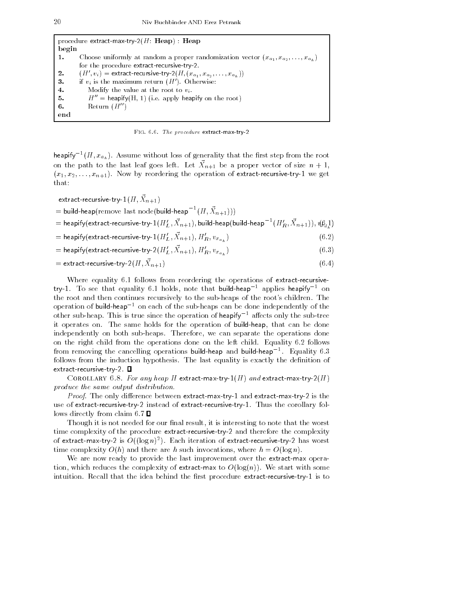procedure extractmax-try-2011 . **Heap**- Heapbegin $1.$ Choose uniformly at random a proper randomization vector  $(x_{a_1}, x_{a_2}, \ldots, x_{a_h})$ for the procedure extractrecursivetry-- $(H, v_i)$  = extract-recursive-try-2( $H, (x_{a_1}, x_{a_2}, \ldots, x_{a_h}))$ 3. If  $v_i$  is the maximum return  $(H)$ . Otherwise:  $\overline{4}$ Modify the value at the root to  $v_i$ . 5.  $H_{-}$  = neapify(H, 1) (i.e. apply heapify on the root)  $\bf{6}$  . Return H--end

rig. 6.6. *The procedure* extract max try-2

 $\max_{\{H, x_{a_h}\}}$ . Assume without loss of generality that the first step from the root on the path to the last leaf goes left. Let  $A_{n+1}$  be a proper vector of size  $n+1$ ,  $\{x_1, x_2, \ldots, x_{n+1}\}$ . Now by reordering the operation or extract-recursive-try-1 we get that

- extract-recursive-try-1 (  $\Pi$  ,  $\Lambda$   $_{n+1}$  )
- $=$  build-heap(remove last node(build-heap  $^{-}(H, X_{n+1})))$ n-
- $r=\lambda\exp(\textsf{extract-recursive-try-I}(H_L^+,X_{n+1}),\textsf{build-heap}(\textsf{build-heap}^-(H_R^-,X_{n+1})),\psi\phi_{a_n^+})$
- $=$  heapify (extract-recursive-try- L (  $H_L$  ,  $X_{n+1}$  ) ,  $H_R$  ,  $v_{x_{a_h}}$  )  $-$  - $(6.2)$
- $=$  heapify(extract-recursive-try-2 (  $H_L$  ,  $X_{n+1}$  ) ,  $H_R$  ,  $v_{x_{a_h}}$  )  $\mathbf{f}$  -  $\mathbf{f}$  -  $\mathbf{f}$  -  $\mathbf{f}$  -  $\mathbf{f}$  -  $\mathbf{f}$  -  $\mathbf{f}$  -  $\mathbf{f}$  -  $\mathbf{f}$  -  $\mathbf{f}$  -  $\mathbf{f}$  -  $\mathbf{f}$  -  $\mathbf{f}$  -  $\mathbf{f}$  -  $\mathbf{f}$  -  $\mathbf{f}$  -  $\mathbf{f}$  -  $\mathbf{f}$  -  $\mathbf{f}$  -  $\mathbf{f}$  -  $(6.3)$

 $(6.4)$ 

 $=$  extract-recursive-try-z ( $H$  ,  $\Lambda$   $_{n+1}$  $\Box$ 

where equality via contract the operations  $\mathbf{q}$  and operations of chinese recent  $\mathbf{r}$ try-1. To see that equality o.f noids, note that build-neap - applies neapify - on the root and then continues recursively to the subheaps of the roots children- The operation of **pu**ild-neap - on each of the sub-neaps can be done independently of the other sub-neap. This is true since the operation of heapify-allects only the sub-treeit operates on- The same holds for the operation of buildheap that can be done independently on both subheaps- Therefore we can separate the operations done an the right child from the operations done on the left child- of the left childfrom removing the cancelling operations build-neap and build-neap-find-diality 0.3  $\,$ follows from the induction hypothesis- The last equality is exactly the de nition of extractrectrecularly  $-$ 

COROLLARY 6.8. For any heap H extract-max-try- $1(H)$  and extract-max-try- $2(H)$ produce the same output distribution

Proof- The only dierence between extractmaxtry and extractmaxtry is the use of extractrecursivetry instead of extractrecursivetry- Thus the corollary fol lows directly from claim -

Though it is not needed for our nal result it is interesting to note that the worst time complexity of the procedure extract-recursive-try-2 and therefore the complexity of extract-max-try-z is  $O( (\log n)$  [ ]. Each iteration of extract-recursive-try-z has worst time complexity  $O(h)$  and there are h such invocations, where  $h = O(\log n)$ .

We are now ready to provide the last improvement over the extract-max operation, which reduces the complement of withway than to Oliogny, who start with some intuition- Recall that the idea behind the rst procedure extractrecursivetry is to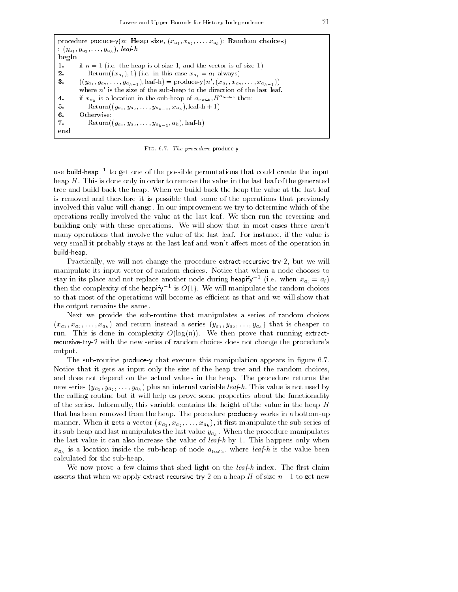procedure produce-y(n: Heap size,  $(x_{a_1}, x_{a_2}, \ldots, x_{a_h})$ : Random choices)  $y_1, y_2, \ldots, y_{a_h}, y_{a_h}$ begin $1.$ if  $n = 1$  (i.e. the heap is of size 1, and the vector is of size 1) return $((x_{a_1}),$   $])$  (i.e. in this case  $x_{a_1} = a_1$  diways) 3.  $(y_{a_1}, y_{a_2}, \ldots, y_{a_{h-1}})$ , leaf-h $)$  = produce-y(n,  $(x_{a_1}, x_{a_2}, \ldots, x_{a_{h-1}})$ ) where  $n$  is the size of the sub-heap to the direction of the last leaf.  $\overline{4}$ If  $x_{a_h}$  is a location in the sub-heap of  $a_{\text{leaf-h}}, H^{-\text{real-h}}$  then:  $\bf 5$  .  $R = \text{Riem}(g_{a_1}, g_{a_2}, \dots, g_{a_{h-1}}, \dots, g_{a_h}), \text{ferm} = 1$  $6.$  Otherwise 7.  $R^{\text{normal}}(y_{a_1}, y_{a_2}, \dots, y_{a_{h-1}}, \dots, y_{a_n})$ end

FIG. 6.7. *Ine procedure* produce y

use build-neap to get one of the possible permutations that could create the input heap H- This is done only in order to remove the value in the last leaf of the generated tree and build back the heapt the back the weild back the health the value at the last leaf the value is removed and therefore it is possible that some of the operations that previously involved this value will change- in our improvement we try to determine which of the  $\cdots$ operations really invested the value at the last leaf- leaf- in the run the reversing and the reversion building they will show these operations-cases the most cases the most cases there are a many operations that involve the value of the last leaf- For instance if the value is very small it probably stays at the last leaf and won't affect most of the operation in build-heap.

Practically, we will not change the procedure extract-recursive-try-2, but we will manipulate its input vector of randomical choices-choices-choices-choices-choices-choices-choicesstay in its place and not replace another node during heapify  $\hspace{0.1 cm}$  (i.e. when  $x_{a_i} = a_i$ ) then the complexity of the neapify  $\bar{\ }$  is  $O(1)$  . We will manipulate the random choices so that most of the operations will become as efficient as that and we will show that the output remains the same.

Next we provide the sub-routine that manipulates a series of random choices  $(x_{a_1}, x_{a_2}, \ldots, x_{a_h})$  and return instead a series  $(y_{a_1}, y_{a_2}, \ldots, y_{a_h})$  that is cheaper to run- Inis is done in compleme, Ologn-prove the exercise externing extracts recursive-try-2 with the new series of random choices does not change the procedure's output-

The subroutine producey that execute this manipulation appears in gure --Notice that it gets as input only the size of the heap tree and the random choices and does not depend on the actual values in the more not procedure films the str hew series  $(y_{a_1}, y_{a_2}, \ldots, y_{a_h})$  plus an internal variable leaf-h. This value is not used by the calling routine but it will help us prove some properties about the functionality of the series-functionally this variable contains the height of the value in the head  $\sim$ that the produce that is the produce produce produces in a bottomup works in a bottomup of the produce  $\mathcal{L}_p$ manner. When it gets a vector  $(x_{a_1}, x_{a_2}, \ldots, x_{a_h})$ , it mst manipulate the sub-series of  $\alpha$  is sub-many manipulates the last value  $y_{a_{k}}$  . When the procedure manipulates the last value it can also increases the value of leaf  $\alpha$  - and more proposed by - when  $\mathbb{Z}_{a_h}$  is a location inside the sub-neap of node aleaf-h, where  $\mathbb{Z}_{a_h}$  is the value been calculated for the sub-heap-

we now prove a few claims that she discussed light on the leafh indexasserts that when we apply extract-recursive-try-2 on a heap H of size  $n + 1$  to get new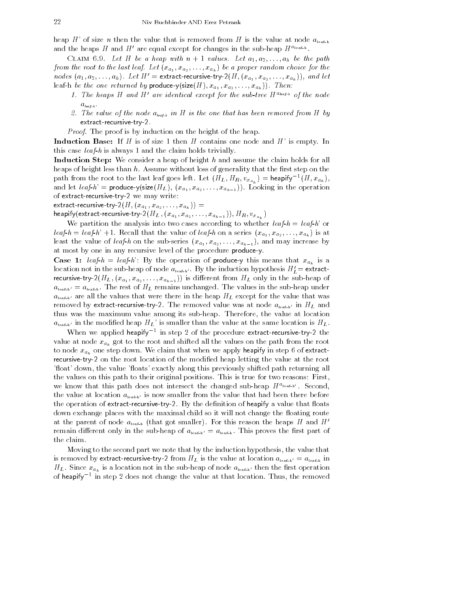heap H' of size n then the value that is removed from H is the value at node  $a_{\text{leaf-h}}$ and the heaps  $H$  and  $H$  are equal except for changes in the sub-neap  $H$  if and  $H$ 

CLAIM 6.9. Let H be a heap with  $n + 1$  values. Let  $a_1, a_2, \ldots, a_h$  be the path from the root to the last leaf. Let  $(x_{a_1}, x_{a_2},..., x_{a_h})$  be a proper random choice for the nodes  $(a_1, a_2, \ldots, a_h)$ . Let  $H' =$  extract-recursive-try-2( $H, (x_{a_1}, x_{a_2}, \ldots, x_{a_h}))$ , and let leaf-h be the one returned by produce-y(size(H),  $x_{a_1}, x_{a_2}, \ldots, x_{a_h}$ )). Then:

- 1. The heaps H and H' are identical except for the sub-tree  $H^{a_{\text{leaf-}h}}$  of the node  $a_{\ell_{\alpha},h}$ .
- 2. The value of the node  $a_{\text{test}}$  in H is the one that has been removed from H by  $extract-recursion-<sub>2</sub>$ .

Proof- The proof is by induction on the height of the heap-

Induction Base If <sup>H</sup> is of size then <sup>H</sup> contains one node and H is empty- In this case  $leaf-h$  is always 1 and the claim holds trivially.

**Induction Step:** We consider a heap of height  $h$  and assume the claim holds for all reaps of height less than h- ilsocality the loss foot of generally that the heep on the step path from the root to the last leaf goes left. Let  $\left(H_L, H_R, v_{x_{a_h}}\right)=$  neapify  $\left\lceil\left(H, x_{a_h}\right)\right\rceil$ and let leaf- $\mu$   $=$  produce-y(size(H<sub>L</sub>),  $(x_{a_1}, x_{a_2}, \ldots, x_{a_{h-1}})$ ). Looking in the operation of extract-recursive-try-2 we may write:

extract-recursive-try-2(H,  $(x_{a_1}, x_{a_2}, \ldots, x_{a_h})) =$ 

 $h$ ieapify (extract-recursive-try-2 (11 L,  $(w_{a_1}, w_{a_2}, \ldots, w_{a_{h-1}}))$  , 11 K,  $v_{x_{a_h}}$  )

We partition the analysis into two cases according to whether leaf-h = leaf-h' or leaf  $\mu = \iota$  af  $\tau$  is at the value of leaf h on a series  $\iota_{a_1}, \iota_{a_2}, \ldots, \iota_{a_h}$  is at least the value of leaf-h on the sub-series  $(x_{a_1}, x_{a_2}, \ldots, x_{a_{h-1}})$ , and may increase by at most by one in any recursive level of the procedure produce-y.

**Case 1:** leaf-h = leaf-h': By the operation of produce-y this means that  $x_{a_h}$  is a location not in the sub-neap of node  $a_{\text{leaf-h}}$ . By the induction hypothesis  $H_L \equiv$  extractrecursive-try-2( $H_L$ ,  $(x_{a_1}, x_{a_2},..., x_{a_{h-1}})$ ) is different from  $H_L$  only in the sub-heap of  $\mathbb{P}_{\text{real-1}}$  -  $\mathbb{P}_{\text{real-1}}$  . The rest of  $\mathbb{P}_{\text{real}}$  remains unchanged: The values in the sub-medi-medi- $\mathbb{P}_{\texttt{leaf-1}}$  are all the values that were there in the heap H  $L$  except for the value that was  $\mathbf{r}$  and  $\mathbf{r}$  are removed value in  $\mathbf{r}$  and  $\mathbf{r}$  and  $\mathbf{r}$  and  $\mathbf{r}$  and  $\mathbf{r}$ thus was the maximum value among its subheap- Therefore the value at location  $\alpha_{\rm{leaf-h}}$  in the modified neap H<sub>L</sub> is smaller than the talled at the same location is H<sub>L</sub>.

When we applied neapify  $\bar{\phantom{a}}$  in step  $\bar{z}$  of the procedure extract-recursive-try- $\bar{z}$  the value at node  $x_{a_h}$  got to the root and shifted all the values on the path from the root  $\alpha$  is node  $\alpha_{a_k}$  one step down-with the channel with we apply heapify in step  $\beta$  of extract recursive try on the root location of the modification at the value at the root of the root 'float' down, the value 'floats' exactly along this previously shifted path returning all the values on this path to their original positions- This is true for two reasons First we know that this path does not intersect the changed sub-neap  $H^{\text{mean}}$ . Second, the value at location a<sub>leaf-h</sub> is now smaller from the value that had been there before the operation of extractreculation of  $\mu$  and the definition of the decay value that of  $\mu$ down exchange places with the maximal child so it will not change the floating route at the parent of node  $a_{\rm leaf\cdot h}$  (that got smaller). For this reason the heaps  $H$  and  $H$  $r$  remainstrated only in the sub-neap of  $\omega_{\text{leaf-h}} = \omega_{\text{leaf-h}}$ . This proves the motive part of the claim-

Moving to the second part we note that by the induction hypothesis the value that is removed by extract recarcited by  $\pm$  health  $L$  is the value at recation aleaf-  $_{\rm{neaf-h}}$  . The value at location aleaf- $\mathcal{L}_L$  , since  $\mathcal{L}_a$  is a recation not in the sub-node aleaf-  $\mathcal{L}_a$  and the first operation of neapify this step 2 does not change the value at that location. Thus, the removed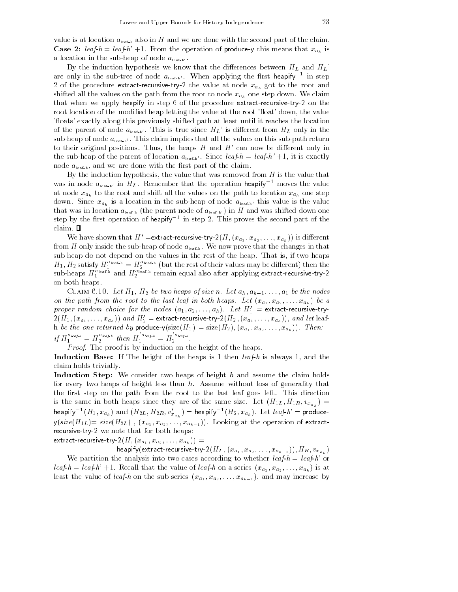value is at location aleaf-if and in h and we are done with the second part of the claim-Case leafh leafh - From the operation of producey this means that xah is  $\alpha$  received in the sub-heap of node aleaf-

By the induction hypothesis we know that the differences between  $H_L$  and  $H_L$ <sup>;</sup> are only in the sub-tree of node  $a_{\rm leaf \ h'}$ . When applying the first neapify  $\hspace{0.1mm}$  = 1n step  $\hspace{0.1mm}$ 2 of the procedure extract-recursive-try-2 the value at node  $x_{a_h}$  got to the root and shifted all the values on the path from the root to house  $a_{a_{h}}$  one step down- we claim that when we apply heapify in step 6 of the procedure extract-recursive-try-2 on the root location of the modi ed heap letting the value at the root oat down the value floats' exactly along this previously shifted path at least until it reaches the location of the parent of heater algebra is true since  $\mathbf{H}_L$  is different from  $\mathbf{H}_L$  only in the sub-houp of hour a<sub>leaf-h</sub> - This claim implies that all the values on this sub-path forum to their criginal positions, Independent on the heaps in the most now be different only in  $\sum_{i=1}^n$  is the parent of location aleaf-h  $\sum_{i=1}^n$  is  $\sum_{i=1}^n$  is it characterized in  $\sum_{i=1}^n$ node aleaf-h and we are done with the rst part of the claim-

By the induction hypothesis, the value that was removed from  $H$  is the value that was in node  $a_{\rm leaf, h'}$  in  $H_L$ . Remember that the operation heapify - moves the value at node  $x_{a_h}$  to the root and shift all the values on the path to location  $x_{a_h}$  one step  $\alpha$  is a location in the sub-neap of node  $\alpha$   $_{\text{leat}}$  is value is the value that was in receiver aleaf-h (the parent node or aleaf-h) in H and was shifted down one step by the first operation of  ${\sf neap}$ ify - in step 2. This proves the second part of the  $-$ 

We have shown that  $H'$  = extract-recursive-try-2(H,  $(x_{a_1}, x_{a_2},..., x_{a_h})$ ) is different from <sup>H</sup> only inside the subheap of node aleaf-h- We now prove that the changes in that subheap do not depend on the values in the state of the newport where  $\alpha$  is the newport  $H_1, H_2$  satisfy  $H_1^{\text{mean}} = H_2^{\text{mean}}$  (but the rest of their values may be different) then the sub-heaps  $H_1^{mean}$  and  $H_2^{mean}$  remain equal also after applying extract-recursive-try-2 on both heaps.

CLAIM  $0.10.$  Det  $H_1$ ,  $H_2$  be two heaps of size n. Det  $a_n, a_{n-1}, \ldots, a_1$  be the nodes on the path from the root to the last leaf in both heaps. Let  $(x_{a_1}, x_{a_2}, \ldots, x_{a_h})$  be a proper random choice for the nodes  $(a_1, a_2, \ldots, a_h)$ . Let  $H'_1$  = extract-recursive-try- $2(H_1,(x_{a_1},...,x_{a_h}))$  and  $H'_2$  = extract-recursive-try-2( $H_2,(x_{a_1},...,x_{a_h}))$ , and let leafh be the one returned by produce-y(size $(H_1)$  = size $(H_2)$ ,  $(x_{a_1}, x_{a_2}, \ldots, x_{a_h})$ ). Then: if  $H_1^{a_{\text{leaf-}h}} = H_2^{a_{\text{leaf-}h}}$  then  $H_1^{a_{\text{leaf-}h}} = H_2^{a_{\text{leaf-}h}}$ .

Proof- The proof is by induction on the height of the heaps-

**Induction Base:** If The height of the heaps is 1 then *leaf-h* is always 1, and the claim holds trivially-

Induction Step: We consider two heaps of height  $h$  and assume the claim holds for every two heaps of height less than he thanking without loss of generally that the the rst step on the path from the root to the last leaf goes left- This direction is the same in both heaps since they are of the same size. Let  $\left(H|L, H|R, v_{x_{a_{h}}}\right)$  – heapily  $\lceil (H_1, x_{a_h}) \rceil$  and  $(H_2L, H_2R, v_{x_{a_h}}) \equiv$  heapily  $\lceil (H_2, x_{a_h}) \rceil$ . Let leaf- $h$   $\equiv$  produce $y_3$ izc $(H_1L)$  size $(H_2L)$ ,  $(u_{a_1}, u_{a_2}, \ldots, u_{a_{h-1}})$ . Hooking at the operation of extractrecursive-try-2 we note that for both heaps:

extract-recursive-try-2  $(H, (x_{a_1}, x_{a_2}, \ldots, x_{a_n})) =$ 

 $h$ eapify (extract-recursive-try- $L(H L, (x_{a_1}, x_{a_2}, \ldots, x_{a_{h-1}})), H R, v_{x_{a_{h}}})$ We partition the analysis into two cases according to whether leaf-h = leaf-h' or leaf  $\mu = \iota$  af  $\tau$  is at the value of leaf h on a series  $\iota_{a_1}, \iota_{a_2}, \ldots, \iota_{a_k}$  is at least the value of leaf-h on the sub-series  $(x_{a_1}, x_{a_2},..., x_{a_{h-1}})$ , and may increase by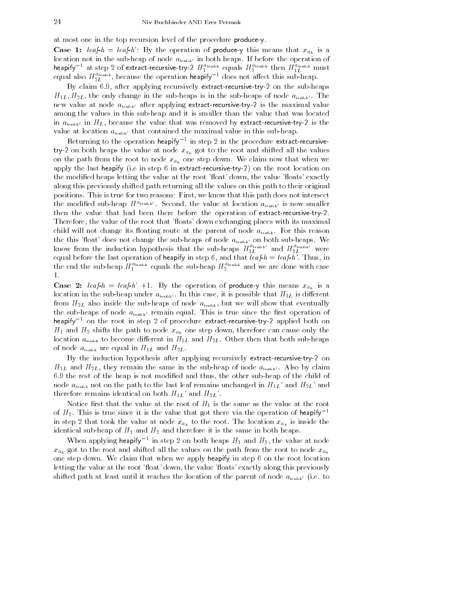at most one in the top recursion level of the procedure produce-y

**Case 1:** leaf-h = leaf-h': By the operation of produce-y this means that  $x_{a_h}$  is a location not in the subheap of node aleaf-h in both heaps- If before the operation of heapify that step 2 of extract-recursive-try-2  $H_1^{\text{mean}}$  equals  $H_2^{\text{mean}}$  then  $H_{1L}^{\text{mean}}$  must equal also  $H_2^{\circ}$  [Equal meaks the operation heapify  $^+$  does not affect this sub-heap.

e after and the substitution of the substitution of the substitution of the substitution of the substitution o  $H_1L$ ,  $H_2L$ , the only change in the sub-heaps is in the sub-heaps of node  $a_{\text{leaf-h}}$ . The hew value at hour a<sub>leaf-h</sub> alter applying extractriculate try L is the maximum value among the values in this sub-heap and it is smaller than the value that was located in a<sub>leaf-</sub>h in H<sub>L</sub>, because the value that was removed by extract recursive try 2 to the value at location a<sub>leaf-h</sub> that contained the maximal value in this sub-heap.

Keturning to the operation neapify  $\,$  = in step  $\,$  in the procedure extract-recursive-  $\,$ try-2 on both heaps the value at node  $x_{a_h}$  got to the root and shifted all the values on the path from the root to node  $u_{a_{h}}$  one step down-we claim how that when we apply the last heapify i-e in step in extractrecursivetry on the root location on the modi ed heaps letting the value at the root oat down the value oats exactly along this previously shifted path returning all the values on this path to their original positions- This is true for two reasons First we know that this path does not intersect the modified sub-neap  $H^{\text{mean}}$ . Second, the value at location  $a_{\text{leaf-h'}}$  is now smaller then the value that had been there before the operation of extract-recursive-try-2. Therefore, the value of the root that 'floats' down exchanging places with its maximal efficient will hot change for howeing route at the parent of house a<sub>leaf-n</sub>. For this reason  $\frac{1}{2}$  this from above not change the sub-freeps of node algaph. On both sub-freeps:  $\frac{1}{2}$ know from the induction hypothesis that the sub-heaps  $H_1^{\text{Teath}}$ -h and  $H_2^{\text{Teath}}$  were equal before the last operation of heapify in step in step that  $\alpha$  in  $\alpha$ the end the sub-heap  $H_1^{\tau_{\text{test-th}}}$  equals the sub-heap  $H_2^{\tau_{\text{test-th}}}$  and we are done with case  $\mathbf{1}$ .

 $\sum_{i=1}^{\infty}$  is  $\sum_{i=1}^{\infty}$  and  $\sum_{i=1}^{\infty}$  and  $\sum_{i=1}^{\infty}$  is a set of  $\sum_{i=1}^{\infty}$  is a set of  $\sum_{i=1}^{\infty}$  $\alpha$  is the subheap under  $\omega_{\text{leaf-h}}$  . In this case, it is possible that H<sub>L</sub> is different  $\mathbf{H}$  also inside the sub-heaps of hode aleaf-  $\mathbf{H}$  such we will show that eventually  $\frac{1}{2}$  remains  $\frac{1}{2}$  remain equal. This is true since the mot operation of  $\,$ neapify $\,$  on the root in step  $_2$  of procedure extract-recursive-try- $_2$  applied both on  $\,$  $H_1$  and  $H_2$  shifts the path to node  $x_{a_h}$  one step down, therefore can cause only the  $\mathbf{h}$  to be become dimercial in HL and HL-- other that both sub-heaps of hour aleaf-h are equal in  $H_{LL}$  and  $H_{LL}$ .

By the induction hypothesis after applying recursively extract-recursive-try-2 on  $H_{LL}$  and  $H_{2L}$ , they remain the same in the sub-heap of node a<sub>leaf-h</sub> . This by claim - the rest of the heap is not modi ed and thus the other subheap of the child of hode aleaf-h not on the path to the last leaf remains unchanged in H $_{1L}$  and H $_{2L}$  and therefore remains identical on both  $H_{1L}$ <sup>'</sup> and  $H_{2L}$ <sup>'</sup>.

Notice rst that the value at the root of H is the same as the value at the root of  $H_2$ . This is true since it is the value that got there via the operation of heapify  $\overline{\phantom{a}}$ in step  $\blacksquare$  that took the value at heure  $w_{a_{h}}$  to the root-root-root-room  $w_{a_{h}}$  is inside the identical sub-heap of  $H_1$  and  $H_2$  and therefore it is the same in both heaps.

when applying neaphy  $\tau$  in step 2 on both heaps  $H_1$  and  $H_2$ , the value at node  $x_{a_h}$  got to the root and shifted all the values on the path from the root to node  $x_{a_h}$ one step down- we connot went when we apply heapify in step on the root location. letting the value at the root 'float' down, the value 'floats' exactly along this previously enneed path at least difficulties the location of the parent of node a<sub>leaf-h</sub> (fiel to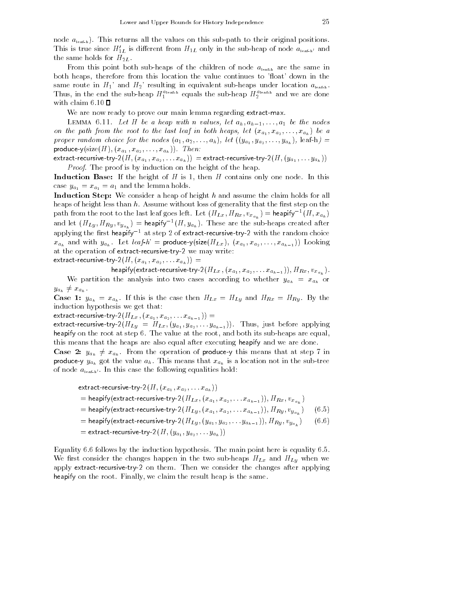node aleaf-h- This returns all the values on this subpath to their original positions-This is true since  $H_{1L}$  is different from  $H_{1L}$  only in the sub-neap of node  $a_{\text{leaf-h'}}$  and the same holds for  $H_{2L}$ .

From this point both subheaps of the children of node aleaf-<sup>h</sup> are the same in both heaps, therefore from this location the value continues to 'float' down in the same route in  $H_1$  and  $H_2$  resulting in equivalent sub-neups under location aleaf-Thus, in the end the sub-heap  $H_1^{\text{mean}}$  equals the sub-heap  $H_2^{\text{mean}}$  and we are done

We are now ready to prove our main lemma regarding extract-max.

LEMMA 0.11. Let  $H$  be a heap with n values, let  $a_h$ ,  $a_{h-1}$ , ...,  $a_1$  be the nodes on the path from the root to the last leaf in both heaps, let  $(x_{a_1}, x_{a_2}, \ldots, x_{a_h})$  be a proper random choice for the nodes  $(a_1, a_2, \ldots, a_h)$ , let  $((y_{a_1}, y_{a_2}, \ldots, y_{a_h})$ , leaf-h) = produce-y(size(H),  $(x_{a_1}, x_{a_2}, \ldots, x_{a_h})$ ). Then:

extract-recursive-try-2(H,  $(x_{a_1}, x_{a_2}, \ldots x_{a_h})$ ) = extract-recursive-try-2(H,  $(y_{a_1}, \ldots y_{a_h})$ ) Proof- The proof is by induction on the height of the heap-

Induction Base If the height of <sup>H</sup> is then <sup>H</sup> contains only one node- In this case  $y_{a_1} = x_{a_1} = a_1$  and the lemma holds.

**Induction Step:** We consider a heap of height  $h$  and assume the claim holds for all heaps of height less than h- Assume without loss of generality that the rst step on the path from the root to the last leaf goes left. Let  $(H_{Lx}, H_{Rx}, v_{x_{a_h}}) =$  heapify  $\lnot (H, x_{a_h})$ and let  $\left( H\,_{y},\,H\,_{y},\,v_{y_{a_{h}}}\right)$   $=$  neapiry  $^{-}(H\,,y_{a_{h}})$ . These are the sub-neaps created after applying the first neapify  $\hspace{0.1mm}$  at step  $\hspace{0.1mm}$  2 of extract-recursive-try-2 with the random choice  $x_{a_h}$  and with  $y_{a_h}$ . Let  $w_j$ - $n$   $=$  produce-y  $(x_{a_1}, x_{a_1}, \ldots, x_{a_{h-1}})$  booking at the operation of extract-recursive-try-2 we may write:

extract-recursive-try-2 $(H, (x_{a_1}, x_{a_2}, \ldots x_{a_h})) =$ 

 $h$  is extract-recursive-try- $\mathcal{L}(H L x, (x_{a_1}, x_{a_2}, \ldots, x_{a_{h-1}})), H R x, (x_{a_h}).$ We partition the analysis into two cases according to whether  $y_{a_h} = x_{a_h}$  or  $y_{a_h} \neq x_{a_h}$ .

 $\mathcal{L}$  is  $\mathcal{L}$  is the sum is the case then  $\mathcal{L}_x$  is  $\mathcal{L}_y$  and  $\mathcal{L}_y$  is  $\mathcal{L}_y$  . Here  $\mathcal{L}_y$ induction hypothesis we get that

extract-recursive-try-2  $(H_{Lx}$  ,  $(x_{a_1}, x_{a_2}, \ldots x_{a_{h-1}}))$  =

extract-recursive-try- $\mathcal{L}(H L_y \ \ = \ \ H Lx, \{y_{a_1}, y_{a_2}, \ldots y_{a_{h-1}}\}).$  Thus, just before applying heapify on the root at step - The value at the root and both its subheaps are equal this means that the heaps are also equal after executing heapify and we are done-

**Case 2:**  $y_{a_h} \neq x_{a_h}$ . From the operation of produce-y this means that at step 7 in produce  $y_i y_{a_k}$  got the value  $a_k$ . This means that  $x_{a_k}$  is a location not in the sub-tree of node  $\omega_{\text{leaf-}n}$  . In this case the following equalities hold.

extract-recursive-try-2  $(H, (x_{a_1}, x_{a_2}, \ldots, x_{a_k}))$ 

- $-$  heapify (extract-recursive-try-2 (11  $Lx$  ,  $(u_{a_1}, u_{a_2}, \ldots, u_{a_{h-1}})$  , 11  $Rx$  ,  $v_{x_{a_h}}$  )
- $=$  heapify $(\textsf{extract-recursive-try-2}(\overline{H}_{Ly}, (x_{a_1}, x_{a_2}, \ldots x_{a_{h-1}})), \overline{H}_{Ry}, v_{y_{a_h}})$ -
- $=$  heapify(extract-recursive-try-2  $(H_{Ly}, (y_{a_1}, y_{a_2}, \ldots y_{a_{h-1}})), H_{Ry}, v_{y_{a_h}})$ . . . . . .
- $=$  extract-recursive-try-2  $(H, (y_{a_1}, y_{a_2}, \ldots y_{a_h}))$

Equality - follows by the induction hypothesis- The main point here is equality -we have consider the changes happen in the two sub-heaps H<sub>LY</sub> and H<sub>Ly</sub> when we apply extractrecursivetry on them- Then we consider the changes after applying heapify on the root- Finally we claim the result heap is the same-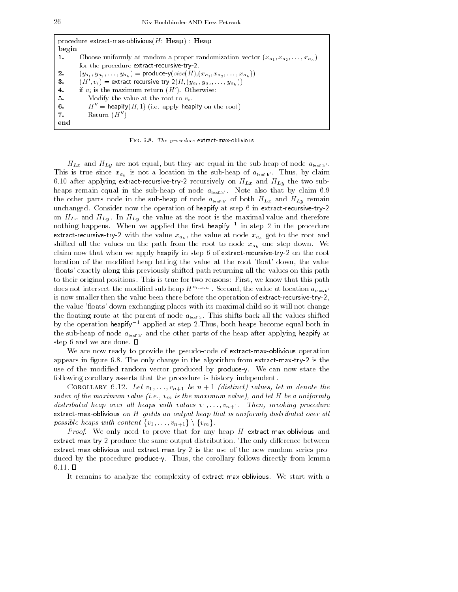| procedure extract-max-oblivious( $H: \textbf{Heap}$ ) : Heap |                                                                                                    |  |
|--------------------------------------------------------------|----------------------------------------------------------------------------------------------------|--|
| begin                                                        |                                                                                                    |  |
| -1.                                                          | Choose uniformly at random a proper randomization vector $(x_{a_1}, x_{a_2}, \ldots, x_{a_h})$     |  |
|                                                              | for the procedure extract-recursive-try-2.                                                         |  |
| 2.                                                           | $(y_{a_1}, y_{a_2}, \ldots, y_{a_h})$ = produce-y(size(H), $(x_{a_1}, x_{a_2}, \ldots, x_{a_h})$ ) |  |
| 3.                                                           | $(H', v_i)$ = extract-recursive-try-2(H, $(y_{a_1}, y_{a_2}, \ldots, y_{a_k})$ )                   |  |
| 4.                                                           | if $v_i$ is the maximum return $(H')$ . Otherwise:                                                 |  |
| - 5.                                                         | Modify the value at the root to $v_i$ .                                                            |  |
| 6.                                                           | $H'' =$ heapify $(H, 1)$ (i.e. apply heapify on the root)                                          |  |
| l 7.                                                         | Return $(H'')$                                                                                     |  |
| end                                                          |                                                                                                    |  |

FIG. 6.8. *The procedure* extract-max-oblivious  $\blacksquare$ 

 $\mu_L$  and  $\mu_L$  are not equal but they are equal in the sub-heap of node aleaf-This is true since  $w_{a_{h}}$  is not a location in the sub-heap of aleaf-n  $\cdots$  Thus, by claim  $\sigma$ . To allot applying extract recursive try  $\epsilon$  recursively on H<sub>LY</sub> and H<sub>LY</sub> the two sub- ${\tt n}$  -community equal in the sub-freep of frout algar  ${\tt n}$  -revealed also that by claim visit the other parts head in the sub-heap of hous  $a_{\text{leaf-h}}$  or both H<sub>LT</sub> and H<sub>LW</sub> remain unchanged- Consider now the operation of heapify at step in extractrecursivetry on  $\mathbf{r}_{1:T}$  and  $\mathbf{r}_{1:T}$  - in  $\mathbf{r}_{1:T}$  value and the root is the maximal value and therefore nothing happens. When we applied the first neapify thistep 2 in the procedure the state of  $\alpha$ extract-recursive-try-2 with the value  $x_{a_h}$ , the value at node  $x_{a_h}$  got to the root and  $s_{\text{max}}$  and the values on the path from the root to node  $x_{a_{h}}$  one step down- with claim now that when we apply heapify in step  $6$  of extract-recursive-try-2 on the root location of the modi ed heap letting the value at the root oat down the value floats' exactly along this previously shifted path returning all the values on this path to their original positions- This is true for two reasons First we know that this path does not intersect the modified sub-neap  $H$  "leaf-h" . Second, the value at location  $a_{\rm{leaf\,h'}}$ is now smaller then the value been there before the operation of extract-recursive-try-2. the value 'floats' down exchanging places with its maximal child so it will not change the howding route at the parent of house a<sub>leaf-ii</sub>. This shifts sack all the values shifted by the operation neapify - applied at step 2.1nus, both heaps become equal both in  $\hspace{0.1mm}$ the sub-heap of hous a<sub>leaf-n</sub> and the other parts of the heap after applying heapify at step is we are done-member of

We are now ready to provide the pseudo-code of extract-max-oblivious operation appears in aquation and also change in the algorithm from extraction in the algorithm  $\sim$ and at the modificial produced produced by produce  $\mu$ . The can now state the can following corollary asserts that the procedure is history independent.

Corollary 0.12. Let  $v_1, \ldots, v_{n+1}$  be  $n+1$  (assumed) values, let m denote the index of the maximum value (i.e.,  $v_m$  is the maximum value), and let H be a uniformly  $a$  and  $b$  are  $b$  over an incups with values  $v_1, \ldots, v_{n+1}$ . Then, invoking procedure extract-max-oblivious on H yields an output heap that is uniformly distributed over all possible heaps with content  $\{v_1, \ldots, v_{n+1}\} \setminus \{v_m\}$ .

Proof- We only need to prove that for any heap <sup>H</sup> extractmaxoblivious and extractively produce the same output distribution- part only distribution- between  $\sim$ extract-max-oblivious and extract-max-try-2 is the use of the new random series proadice by the procedure producey, which is the corollary follows directly follows directly

. It remains to an algebra the complexity of extractmax factors in all algebra with a start with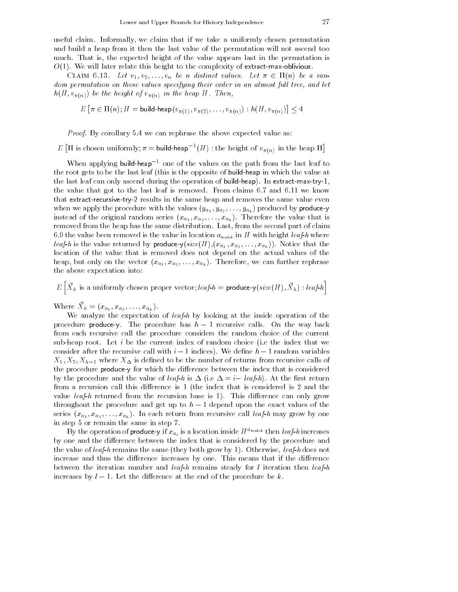useful claim-if claim-if we consider that if we take a uniformly chosen permutation of and build a heap from it then the last value of the permutation will not ascend too much- That is the expected height of the value appears last in the permutation is O-(1), its him later relates this height to the complement of extract limit watched.

CLAIM 6.13. Let  $v_1, v_2, \ldots, v_n$  be n distinct values. Let  $\pi \in \Pi(n)$  be a random permutation on these values specifying their order in an almost full tree, and let  $h(H, v_{\pi(n)})$  be the height of  $v_{\pi(n)}$  in the heap H. Then,

$$
E\left[\pi \in \Pi(n); H = \text{build-heap}(v_{\pi(1)}, v_{\pi(2)}, \dots, v_{\pi(n)}) : h(H, v_{\pi(n)})\right] \leq 4
$$

Proof- By corollary - we can rephrase the above expected value as

E H is chosen uniformly;  $\pi =$  build-heap<sup>-1</sup>(H) : the height of  $v_{\pi(n)}$  in the heap H]

When applying build-neap to one of the values on the path from the last leaf to the root gets to be the last leaf (this is the opposite of build-heap in which the value at the last leaf can only ascend during the operation of buildheap-processes as an extract commonly with the value that got to the last leaf is removed-the method is now that it removedthat extract-recursive-try-2 results in the same heap and removes the same value even when we apply the procedure with the values  $(y_{a_1}, y_{a_2}, \ldots, y_{a_h})$  produced by produce-y instead of the original random series  $(x_{a_1}, x_{a_2}, \ldots, x_{a_h})$ . Therefore the value that is removed the from the same distribution and the second part of claim part of claims and part of claims of the s oly the value been removed is the value in recution a<sub>leafh</sub> in H with height tea<sub>f</sub> it where leaf h is the value returned by produce-y(size(H),( $a_{a_1}, a_{a_2}, \ldots, a_{a_h}$ )). Notice that the location of the value that is removed does not depend on the actual values of the  $\max p$ , but only on the vector  $(x_{a_1}, x_{a_2}, \ldots, x_{a_h})$ . Therefore, we can further rephrase the above expectation into

 $E\left[ \vec{X}_h \right]$  is a uniformly chosen proper vector;  $leaf\text{-}h=$  produce-y $(size(H), \vec{X}_h)$  :  $leaf\text{-}h\right]$ 

WHERE  $A_h = (x_{a_1}, x_{a_2}, \ldots, x_{a_h}).$ 

We analyze the expectation of leaf-h by looking at the inside operation of the procedure produce-y. The procedure has  $h-1$  recursive calls. On the way back from each recursive call the procedure considers the random choice of the current eas houp root. Hot the the carrent measure of runded the choice ind measure that we consider after the recursive call with  $i-1$  indices). We define  $h-1$  random variables  $\Lambda_1, \Lambda_2, \Lambda_{h-1}$  where  $\Lambda\Delta$  is defined to be the number of returns from recursive calls of the procedure produce-y for which the difference between the index that is considered by the procedure and the value of leaf-h is  $\Delta$  (i.e  $\Delta = i-$  leaf-h). At the first return from a recursion call this difference is  $1$  (the index that is considered is  $2$  and the value leafh returned from the recursion base is -flow many discussed can only grow the record throughout the procedure and get up to  $h-1$  depend upon the exact values of the series  $(x_{a_1}, x_{a_2}, \ldots, x_{a_h})$ . In each return from recursive call leaf h may grow by one in step  $5$  or remain the same in step  $7$ .

By the operation of produce-y if  $x_{a_i}$  is a location inside  $H^{(n,a)}$  then leaf-n increases by one and the difference between the index that is considered by the procedure and the value of leafh remains the same they both grow by - Otherwise leafh does not increase and thus the dierence increases by one- This means that if the dierence between the iteration number and leaf-h remains steady for l iteration then leaf-h increases by  $l-1$ . Let the difference at the end of the procedure be k.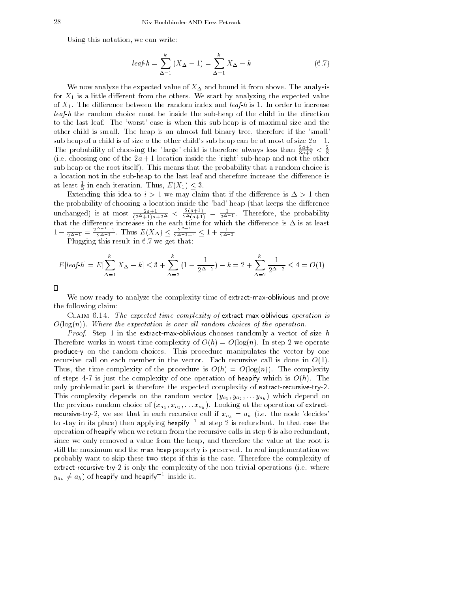Using this notation, we can write:

$$
leaf-h = \sum_{\Delta=1}^{k} (X_{\Delta} - 1) = \sum_{\Delta=1}^{k} X_{\Delta} - k
$$
 (6.7)

We now analyze the expected value of III and bound it from above- The analysis for  $\mathbf{r}_1$  is a from dimersity from the statistic viewed by analyzing the expected value of it, the dimercified between the random index and leaf it is the stack to increase  $leaf-h$  the random choice must be inside the sub-heap of the child in the direction to the last leaf- The worst case is when this subheap is of maximal size and the other child is small- The heap is an almost full binary tree therefore if the small sub-heap of a child is of size a the other child's sub-heap can be at most of size  $2a + 1$ . The probability of choosing the large child is therefore always less than  $\frac{3a+2}{3a+2} < \frac{1}{3}$ i-clocking one of the same interesting inside the right sub-note that have the other in sub means that the root itself - the means the probability that a random choice is the probability of the probability of the contract of the contract of the contract of the contract of the contract of the contract of the c a location not in the sub-heap to the last leaf and therefore increase the difference is at least  $\frac{1}{3}$  in each iteration. Thus,  $E(X_1) \leq 3$ .

Extending this idea to  $i > 1$  we may claim that if the difference is  $\Delta > 1$  then the probability of choosing a location inside the bad heap that keeps the dierence unchanged) is at most  $\frac{z\alpha+1}{(2\Delta+1)a+2\Delta} < \frac{z\alpha+1}{2\Delta(a+1)} = \frac{1}{2\Delta-1}$ . Therefore, the probability  $1-\frac{1}{2^{\Delta-1}}=\frac{2^{\Delta-1}-1}{2^{\Delta-1}}$ . Thus  $E(X_{\Delta})\leq \frac{2^{\Delta-1}}{2^{\Delta-1}-1}\leq 1+\frac{1}{2^{\Delta-2}}$ 

Plugging this result in - we get that

$$
E[leaf-h] = E[\sum_{\Delta=1}^{k} X_{\Delta} - k] \le 3 + \sum_{\Delta=2}^{k} (1 + \frac{1}{2^{\Delta-2}}) - k = 2 + \sum_{\Delta=2}^{k} \frac{1}{2^{\Delta-2}} \le 4 = O(1)
$$

 $\Box$ 

We now ready to analyze the complexity time of extract-max-oblivious and prove the following claim

Claim - The expected time complexity of extractmaxoblivious operation is  $O(\log(n))$ . Where the expectation is over all random choices of the operation.

Proof- Step in the extractmaxoblivious chooses randomly a vector of size <sup>h</sup>  $T$  is the complexity of  $T$  and  $T$  . The  $T$  is  $T$  is  $T$  is  $T$  is the  $T$  of  $T$  in step  $T$  is the step  $T$ producey on this produces interest which procedure manipulates the vector by onerecursive call on each member in the vector: Each recursive call is done in O-(1). Thus, the time compleme, or the procedure is Ohio Ohioght II. The compleme, of steps **i** is just the complement of one operation of heapify which is O half fine only problematic part is therefore the expected complexity of extract-recursive-try-2. This complexity depends on the random vector  $(y_{a_1}, y_{a_2}, \ldots, y_{a_h})$  which depend on the previous random choice of  $(x_{a_1}, x_{a_2}, \ldots x_{a_h})$ . Looking at the operation of extractrecursive  $\mathbf{u}_j$   $=$ , we see that in each recursive call if  $\mathbf{u}_{a_h}$   $=$   $\mathbf{w}_n$  (field the node decides to stay in its place) then applying neaphy - at step 2 is redundant. In that case the operation of heapify when we return from the recursive calls in step  $6$  is also redundant, since we only removed a value from the heap, and therefore the value at the root is still the maximum and the maximum and property is present in the maximum and the maximum  $\cdots$ probably want to skip these two steps if this is the case- Therefore the complexity of extractrecursive the complexity international or the non-trivial operations international complexity in the co  $y_{a_h}\neq a_h)$  of heapify and heapify $^{-1}$  inside it.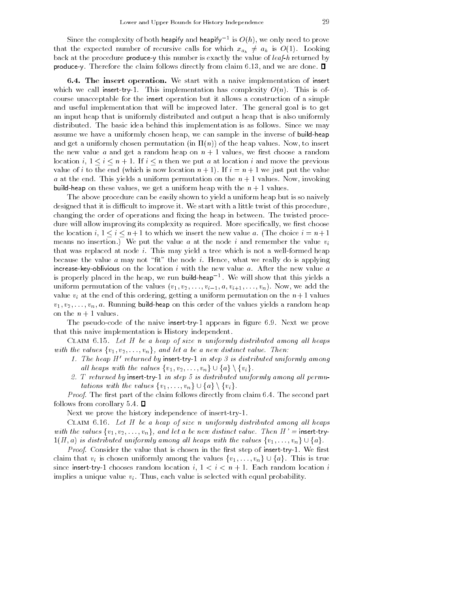Since the complexity of both heapify and heapify  $\bar{\ }$  is  $O(n)$  , we only need to prove that the expected number of recursive calls for which  $x_{a_h} \neq a_h$  is  $O(1)$ . Looking back at the procedure produce-y this number is exactly the value of leaf-h returned by producey-produces-the claim follows directly from claim form and we are done-

-- The insert operation- We start with a naive implementation of insert which we can meet  $\mathbf{v}_i$  in this implementation has complement  $\mathbf{v}_i$  on the  $\mathbf{v}_i$ course unacceptable for the insert operation but it allows a construction of a simple and active implementation that will be implementation that general goal is to get an input heap that is uniformly distributed and output a heap that is also uniformly adistributed-basic idea behind this implementation implementation in this implementation is assumption in the assume we have a uniformly chosen heap, we can sample in the inverse of build-heap and got a uniformly chosen permutation in nagively or the heap values-receive to insert the new value <sup>a</sup> and get a random heap on <sup>n</sup> values we rst choose a random location i,  $1 \le i \le n + 1$ . If  $i \le n$  then we put a at location i and move the previous value of  $\epsilon$  and only printed to how location  $\alpha + \mu$  , if  $\epsilon$  is  $\alpha + \mu$  and  $\mu$  and  $\alpha$ a at the end-and-man invoking a uniform permutation on the n  $\vert$  + ialustic invitation  $\vert$  in the summary build-heap on these values, we get a uniform heap with the  $n + 1$  values.

The above procedure can be easily shown to yield a uniform heap but is so naively designed that it is different to improve it. It is different with a little twist of this procedure changing the order of operations and xing the heap in between- The twisted proce adre winn mille improving its complexity as required measure approximately we inter the same the location i,  $1 \le i \le n+1$  to which we insert the new value a. (The choice  $i = n+1$ means no insertion- We put the value <sup>a</sup> at the node <sup>i</sup> and remember the value vi that was replaced at head it fills may jield a tree which he het a wellformed heap because the value will here in the mode of history will heavy the node of wppining in**erease** its, swittisms on the location *i* with the new value at third the new value ais properly placed in the heap, we run build-neap full we will show that this yields a uniform permutation of the values  $(v_1, v_2, \ldots, v_{i-1}, a, v_{i+1}, \ldots, v_n)$ . Tow, we add the value  $v_i$  at the end of this ordering, getting a uniform permutation on the  $n+1$  values  $v_1, v_2, \ldots, v_n, a$  -figuring build-neap on this order of the values yields a random heap on the  $n + 1$  values.

The pseudocode of the naive inserttry appears in gure -- Next we prove that this naive implementation is History independent-

Caimin 0.19. Bet if we a heap of size n uniformity alon touted among an heaps with the values  $\{v_1, v_2, \ldots, v_n\}$ , and let a be a new distinct value. Then:

- 1. The heap  $H'$  returned by insert-try-1 in step 3 is distributed uniformly among all heaps with the values  $\{v_1, v_2, \ldots, v_n\} \cup \{a\} \setminus \{v_i\}.$
- 2. T returned by insert-try-1 in step 5 is distributed uniformly among all permutations with the values  $\{v_1, \ldots, v_n\} \cup \{a\} \setminus \{v_i\}.$

rst part of the part of the continues and claim form claim for the second part of the second part of the second part of the second part of the second part of the second part of the second part of the second part of the sec follows from corollary --

Next we prove the history independence of insert-try-1.

Caiming 6.10. Bot if we a heap of size it antiforming also loaded among an heaps with the values  $\{v_1, v_2, \ldots, v_n\}$ , and let a be new distinct value. Then  $H' = \text{insert-try-}$  $H(H, a)$  is distributed uniformly among all heaps with the values  $\{v_1, \ldots, v_n\} \cup \{a\}$ .

rst, consider the value that is chosen in the value that is chosen in the step of insert  $\mathcal{L}$ claim that  $v_i$  is chosen uniformly among the values  $\{v_1, \ldots, v_n\} \cup \{a\}$ . This is true since insert  $\mathbf{v}$  , a chooses random location  $\mathbf{v}_1$  if  $\mathbf{v}_2$  if  $\mathbf{v}_3$  is made in the captuon  $\mathbf{v}_4$ implies a unique value vi- Thus each value is selected with equal probability-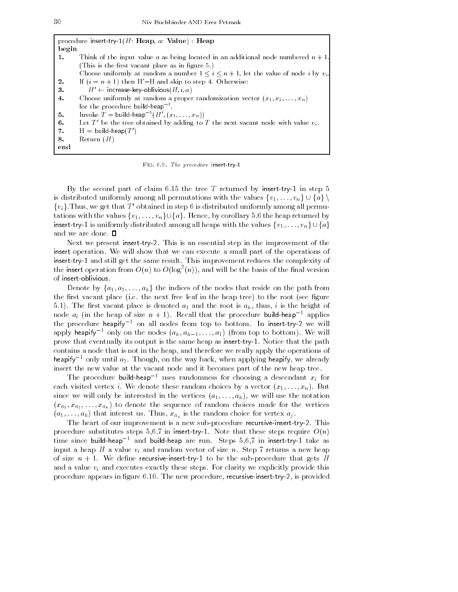|       | procedure insert-try-1( <i>H</i> : <b>Heap</b> , <i>a</i> : <b>Value</b> ) : <b>Heap</b>            |
|-------|-----------------------------------------------------------------------------------------------------|
| begin |                                                                                                     |
| 1.    | Think of the input value a as being located in an additional node numbered $n+1$ .                  |
|       | (This is the first vacant place as in figure 5.)                                                    |
|       | Choose uniformly at random a number $1 \leq i \leq n+1$ , let the value of node <i>i</i> by $v_i$ . |
| 2.    | If $(i = n + 1)$ then H'=H and skip to step 4. Otherwise:                                           |
| 3.    | $H' \leftarrow$ increase-key-oblivious( $H, i, a$ )                                                 |
| 4.    | Choose uniformly at random a proper randomization vector $(x_1, x_2, \ldots, x_n)$                  |
|       | for the procedure build-heap <sup>-1</sup> .                                                        |
| 5.    | Invoke $T = \text{build-}$ heap <sup>-1</sup> $(H', (x_1, \ldots, x_n))$                            |
| 6.    | Let $T'$ be the tree obtained by adding to T the next vacant node with value $v_i$ .                |
| 7.    | $H =$ build-heap $(T')$                                                                             |
| 8.    | Return $(H)$                                                                                        |
| end   |                                                                                                     |

FIG. 6.9. *Ine procedure* i**nsert try 1** 

 $B$ y the second part of claim the the tree T returned by insert  $\mathbf{r}_i$  in step of is distributed uniformly among all permutations with the values  $\{v_1, \ldots, v_n\} \cup \{a\} \setminus$  $\{v_i\}$ . Thus, we get that T' obtained in step 6 is distributed uniformly among all permutations with the values  $\{v_1, \ldots, v_n\} \cup \{a\}$ . Hence, by corollary 5.6 the heap returned by insert-try-1 is uniformly distributed among all heaps with the values  $\{v_1, \ldots, v_n\} \cup \{a\}$ 

Next we present inserttry- This is an essential step in the improvement of the insert operation- We will show that we can execute a small part of the operations of insert try and still get the same reduce and complex the complexity of the complexity of the insert operation from  $O(n)$  to  $O(\log^+(n))$  , and will be the basis of the final version of insert-oblivious

Denote by  $\{a_1, a_2, \ldots, a_h\}$  the indices of the nodes that reside on the path from the direct continuer place into direct direct direct direct directly the time in the leaf in the sequent -- The rst vacant place is denoted a and the root is ah thus <sup>i</sup> is the height of node  $a_i$  (in the neap of size  $n+1$ ). Recall that the procedure build-neap - applies  $\hspace{0.1mm}$ the procedure neapity <sup>-</sup> on all nodes from top to bottom. In insert-try-z we will apply neapity - only on the nodes  $(a_h, a_{h-1}, \ldots, a_1)$  (from top to bottom). We will prove that eventually its output is the same heap as insert to prove the same that paths. contains a node that is not in the heap, and therefore we really apply the operations of neapify  $\tau$  only until  $a_2$  . Though, on the way back, when applying neapify, we already insert the new value at the vacant node and it becomes part of the new heap tree.

The procedure build-neap  $\bar{\ }$  uses randomness for choosing a descendant  $x_i$  for each visited vertex  $i$ . We denote these random choices by a vector  $\{x_1, \ldots, x_n\}$ . Dut since we will only be interested in the vertices  $(a_1, \ldots, a_h)$ , we will use the notation  $(x_{a_1}, x_{a_2},..., x_{a_h})$  to denote the sequence of random choices made for the vertices  $\{a_1,\ldots,a_h\}$  that interest us. Thus,  $a_{a_j}$  is the random choice for vertex  $a_j$ .

The heart of our improvement is a new subprocedure recursiveinserttry- This procedure substitute steps steps in most to the trace show most steps require Only time since build-neap - and build-neap are run. Steps  $9.0$ , in insert-try-f take as input a heap <sup>H</sup> a value vi and random vector of size n- Step returns a new heap of size n - ne define to he more than if you see the sub-procedure that goes if and a value  $\alpha$  and executes exactly these steps- referency we explicitly provide this procedure appears in ingure cases when it provided provided in an ingles of the provided in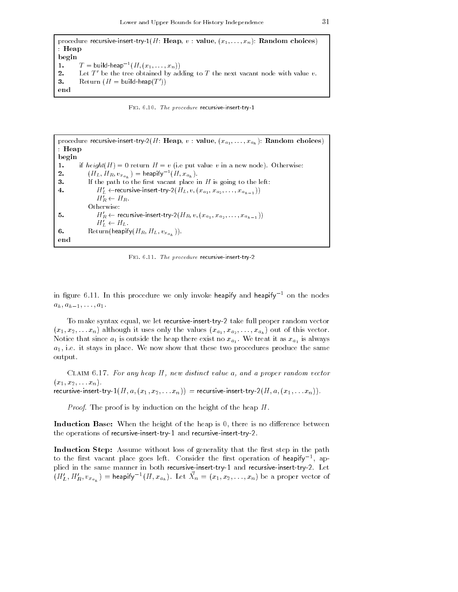procedure recursive-insert-try-1(*H*): Leap,  $v$  : value,  $(x_1, \ldots, x_n)$ : Leandom choices)  $\cdots$ begin--

 $I =$  build-neap  $\lceil (H_1(x_1, \ldots, x_n)) \rceil$ 

- -— Let  $I$  -be the tree obtained by adding to  $I$  -the next vacant node with value  $v$ .
- 3.  $\mathrm{Return} \ \left( H = \mathrm{pulld}\textrm{-} \mathrm{head}(T) \right)$  -

end

FIG. 6.10. The procedure recursive-insert-try-1

procedure recursive-misert-try- $z(n)$ . Heap,  $v$  . value,  $(x_{a_1},...,x_{a_h})$ . Random choices,  $\cdots$ begin $1.$ If  $h$  is the unitary  $H = v$  is the put value v in a new nodel. Otherwise, - $(H_L, H_R, v_{x_{a_h}}) =$  neapiry  $\lnot (H, x_{a_h}).$  ${\bf 3}$  . If the path to the first vacant place in  $H$  is going to the left:  $\overline{4}$ .  $H_L \leftarrow$ recursive-insert-try-2( $H_L, v, (x_{a_1}, x_{a_2}, \ldots, x_{a_{h-1}})$ )  $H_R \leftarrow H_R$ . Otherwise5.  $H_R \leftarrow$  recursive-insert-try-2( $H_R, v, (x_{a_1}, x_{a_2}, \ldots, x_{a_{h-1}})$ )  $H_L \leftarrow H_L$ .  $6.$  $\text{Riem}(m\text{supp}(y(n\pi),\pi\mu, \sigma_{a_{h}}))$ . end

FIG. 6.11. The procedure recursive insert try-2

in figure 0.11. In this procedure we only invoke heapify and heapify - on the nodes  $a_n, a_{n-1}, \ldots, a_1$ .

To make syntax equal, we let recursive-insert-try-2 take full proper random vector  $(x_1, x_2, \ldots, x_n)$  although it uses only the values  $(x_{a_1}, x_{a_2}, \ldots, x_{a_n})$  out of this vector.  $\mathcal{L}_1$  , and since a is outside the heap there exist no  $\mathcal{R}_d$  , we show  $\mathcal{R}_d$  is always with the theory is the place. The model crime that the procedures produce the same output-

Caimin Cirti, rol any heap it, hear alounce calue a, and a proper random vector  $(x_1, x_2, \ldots x_n).$ 

recursive-insert-try-1(H, a,  $(x_1, x_2, \ldots x_n)$ ) = recursive-insert-try-2(H, a,  $(x_1, \ldots x_n)$ ).

Proof- The proof is by induction on the height of the heap H-

Induction Base: When the height of the heap is 0, there is no difference between the operations of recursive-insert-try-1 and recursive-insert-try-2.

Induction Step Assume without loss of generality that the rst step in the path to the first vacant place goes left. Consider the first operation of heapify -, applied in the same manner in both recursiveinserttry and recursiveinserttry- Let  $(H_L, H_R, v_{x_{a_h}})$  = heapity  $\lnot (H, x_{a_h})$ . Let  $X_n = (x_1, x_2, \ldots, x_n)$  be a proper vector of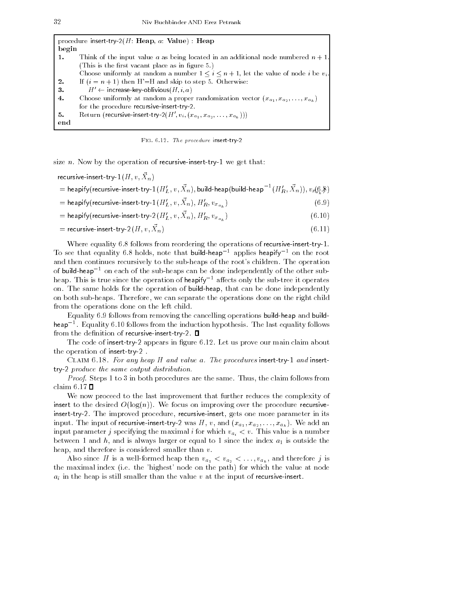procedure insert-try-2011 **Heap** a valuer Heap begin $1.$  $\pm$  mink of the input value  $a$  as being located in an additional node numbered  $n+1.$ (This is the first vacant place as in figure  $5.$ ) Choose uniformly at random a number  $1 \leq i \leq n+1$ , let the value of node i be  $v_i$ . - $\mu$  if  $\mu$   $\pm$  if then if  $\pm$  if and skip to step  $\sigma$ . Otherwise, 3.  $H^+ \leftarrow$  increase-key-obliviousi  $H^+ \cdot a +$ 4. Choose uniformly at random a proper randomization vector  $(x_{a_1}, x_{a_2}, \ldots, x_{a_h})$ for the procedure recursiveinserttry-5. Return (recursive-insert-try- $2(H, v_i, (x_{a_1}, x_{a_2}, \ldots, x_{a_h})))$ end

FIG. 6.12. *The procedure* i**nsert-try**-2

size no recursive operation or recursive incent we get that it

recursive-misert-try-intry,  $\Lambda_n$  ,  $\Lambda$ 

- heapifyrecursiveinserttry<sup>H</sup>L v X n buildheapbuildheap- HR X <sup>n</sup> vxah -
- $=$  heapify(recursive-insert-try-1 ( $H_L$  ,  $v$  ,  $X_n$  ) ,  $H_R$  ,  $v_{x_{a_h}}$  )  $-$  - $(6.9)$
- $=$  neapify(recursive-insert-try-2 (  $H_L$  ,  $v$  ,  $\Lambda_n$  ) ,  $H_R$  ,  $v_{x_{a_h}}$  )  $\mathbf{r}$  -  $\mathbf{r}$  -  $\mathbf{r}$  -  $\mathbf{r}$  -  $\mathbf{r}$  -  $\mathbf{r}$  -  $\mathbf{r}$  -  $\mathbf{r}$  -  $\mathbf{r}$  -  $\mathbf{r}$  -  $\mathbf{r}$  -  $\mathbf{r}$  -  $\mathbf{r}$  -  $\mathbf{r}$  -  $\mathbf{r}$  -  $\mathbf{r}$  -  $\mathbf{r}$  -  $\mathbf{r}$  -  $\mathbf{r}$  -  $\mathbf{r}$  -  $(6.10)$
- $=$  recursive-insert-try-2  $(H, v, \vec{X}_n)$ n - Andre - Andre - Andre - Andre - Andre - Andre - Andre - Andre - Andre - Andre - Andre - Andre - Andre - An  $(6.11)$

where equality and receive control the ordering the operations of recursive in  $\mu$  ca to see that equality of notes, note that build-neap- applies heapify-on the rootand the continues recursively to the sub-part of the roots children-children-childrenof build-neap- ton each of the sub-neaps can be done independently of the other sub--------------------------neap. Inis is true since the operation of neapify - affects only the sub-tree it operates on- The same holds for the operation of buildheap that can be done independently on both subheaps- Therefore we can separate the operations done on the right child from the operations done on the left child-

equality or collows from removing the cancelling spectrum can be dependent operations buildheap and buildheap  $\mathsf{mean}^{-1}$  . Equality 0.10 follows from the induction hypothesis. The last equality follows from the de nition of recursiveinserttry-

the code of insert  $\alpha$  , a species in equipment in above our prove our main claim above our c the operation of insert-try- $2$ .

Caimin 0.10. Tor any heap II and caracter the procedures insert ary 1 and insert  $try-2$  produce the same output distribution.

Proof- Steps to in both procedures are the same- Thus the claim follows from claim - claim - claim - claim - claim - claim - claim - claim - claim - claim - claim - claim - claim - claim

We now proceed to the last improvement that further reduces the complexity of insert to the desired Oliogn-province recursive on improving over the procedure recursive insert try-structure provedure recursive recursive recovering parameters parameters in its input. The input of recursive-misert-try-z was  $H$ ,  $v$ , and  $\{x_{a_1}, x_{a_2}, \ldots, x_{a_h}\}$ . We add an input parameter *j* specifying the maximal *t* for which  $v_{a_i} \leq v$ . This value is a number between 1 and h, and is always larger or equal to 1 since the index  $a_1$  is outside the heap, and therefore is considered smaller than  $v$ .

Also since H is a well-formed heap then  $v_{a_1} < v_{a_2} < \ldots, v_{a_h}$ , and therefore j is the maximal index i-e- the highest node on the path for which the value at node  $a_i$  in the heap is still smaller than the value v at the input of recursive-insert.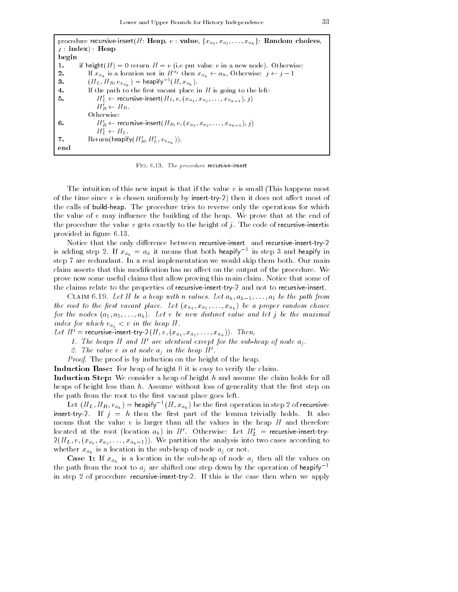| procedure recursive-insert(H: Heap, v: value, $\{x_{a_1}, x_{a_2}, \ldots, x_{a_h}\}\$ : Random choices,        |  |  |
|-----------------------------------------------------------------------------------------------------------------|--|--|
| i:index):Heap                                                                                                   |  |  |
| begin                                                                                                           |  |  |
| if height( $H$ ) = 0 return $H = v$ (i.e put value v in a new node). Otherwise:<br>1.                           |  |  |
| If $x_{a_h}$ is a location not in $H^{a_j}$ then $x_{a_h} \leftarrow a_h$ , Otherwise: $j \leftarrow j-1$<br>2. |  |  |
| $(H_L, H_R, v_{x_{a_k}})$ = heapify <sup>-1</sup> $(H, x_{a_k})$ .<br>3.                                        |  |  |
| If the path to the first vacant place in $H$ is going to the left:<br>4.                                        |  |  |
| $H'_{L} \leftarrow$ recursive-insert $(H_{L}, v, (x_{a_1}, x_{a_2}, \ldots, x_{a_{k-1}}), j)$<br>5.             |  |  |
| $H'_B \leftarrow H_B$ .                                                                                         |  |  |
| Otherwise:                                                                                                      |  |  |
| $H'_{R} \leftarrow$ recursive-insert $(H_{R}, v, (x_{a_1}, x_{a_2}, \ldots, x_{a_{h-1}}), j)$<br>6.             |  |  |
| $H'_L \leftarrow H_L$                                                                                           |  |  |
| Return(heapify $(H'_R, H'_L, v_{x_a})$ ).<br>7.                                                                 |  |  |
| end                                                                                                             |  |  |

FIG. 6.13. *The procedure* recursive insert

The intuition of this new input is that if the value  $v$  is small (This happens most of the time since  $v$  is chosen uniformly by insert-try-2) then it does not affect most of the calls of buildheap- the procedure tries to reverse only the operations for which  $\sim$ the value of v may influence the building of the heap- we prove the end of the state of the procedure the value <sup>v</sup> gets exactly to the height of j- The code of recursiveinsertis provided in the contract of the contract of the contract of the contract of the contract of the contract of the contract of the contract of the contract of the contract of the contract of the contract of the contract of th

Notice that the only difference between recursive-insert and recursive-insert-try-2 is adding step 2. If  $x_{a_h} \equiv a_h$  it means that both neapify  $\overline{\ }$  in step 5 and neapify in step are redundant- In a real implementation we would skip them both- Our main claim asserts that this modi cation has no aect on the output of the procedure- We prove now some useful claims that allow proving this main claim- Notice that some of the claims relate to the properties of recursive-insert-try-2 and not to recursive-insert.

 $\cup$  Extra  $\cup$  . Det H be a heap with n values. Deta $\eta$ ,  $a_{n-1}$ ,  $\dots$ ,  $a_1$  be the path from are root to the first vacant place. Let  $(x_{a_1}, x_{a_2}, \ldots, x_{a_h})$  be a proper random choice for the nodes  $(a_1, a_2, \ldots, a_h)$ . Let v be new distinct value and let j be the maximal index for which  $v_{a_i} < v$  in the heap H.

Let  $H'$  = recursive-insert-try-2( $H, v, (x_{a_1}, x_{a_2}, \ldots, x_{a_h})$ ). Then,

1. The heaps H and H' are identical except for the sub-heap of node  $a_j$ .

2. The value v is at node  $a_i$  in the heap  $H'$ .

Proof- The proof is by induction on the height of the heap-

Induction Base: For heap of height  $0$  it is easy to verify the claim.

**Induction Step:** We consider a heap of height  $h$  and assume the claim holds for all rtupe of height less than h- listand without the loss of generally that the first step on the the path from the root to the from the place goes left

Let  $\left( H_L, H_R, v_{a_h} \right) =$  neapify  $\left( \cdot \right) \left( H, x_{a_h} \right)$  be the first operation in step 2 of recursiveinserttry- If <sup>j</sup> <sup>h</sup> then the rst part of the lemma trivially holds- It also means that the value  $v$  is larger than all the values in the heap  $H$  and therefore located at the root (location  $a_h$ ) in H . Otherwise: Let  $H_L$  = recursive-insert-try- $\mathcal{L}(H_L, v, (x_{a_1}, x_{a_2}, \ldots, x_{a_h-1})),$  we partition the analysis into two cases according to whether  $x_{a_h}$  is a location in the sub-heap of node  $a_j$  or not.

**Case 1:** If  $x_{a_h}$  is a location in the sub-heap of node  $a_j$  then all the values on the path from the root to  $a_j$  are shifted one step down by the operation of heapifyin step  of procedure recursiveinserttry- If this is the case then when we apply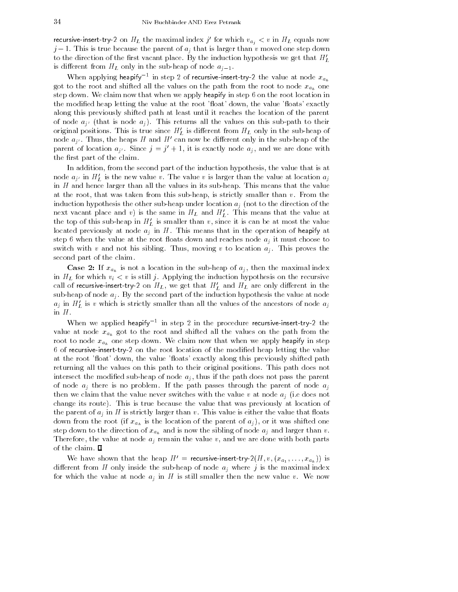recursive-insert-try-2 on  $H_L$  the maximal index j for which  $v_{a_j} < v$  in  $H_L$  equals now  $j-1$ . This is true because the parent of  $a_j$  that is larger than v moved one step down to the direction of the first vacant place. By the induction hypothesis we get that  $H_L$  $\ldots$  different from H<sub>L</sub> only in the sub-heap of node aj-1.

When applying neapify the step 2 of recursive-insert-try-2 the value at node  $x_{a_h}$ got to the root and shifted all the values on the path from the root to node  $x_{a_h}$  one step down- We claim now that when we apply heapify in step on the root location in the modi ed heap letting the value at the root oat down the value oats exactly along this previously shifted path at least until it reaches the location of the parent of hode aj -{that is hode ajj. This returns all the values on this sub-path to their original positions. This is true since  $H_L$  is different from  $H_L$  only in the sub-neap of node  $a_{j'}$ . Thus, the heaps  $H$  and  $H$  -can now be different only in the sub-neap of the  $\blacksquare$ parent of location  $a_{j'}$ . Since  $j = j + 1$ , it is exactly node  $a_j$ , and we are done with the claim-term of the claim-term of the claim-term of the claim-term of the claim-term of the claim-

In addition, from the second part of the induction hypothesis, the value that is at node  $a_{j'}$  in  $\overline{H}_L$  is the new value  $v$  . The value  $v$  is larger than the value at location  $a_j$ in it what hence larger than all the values in 105 sub-heap. This means that the value at the root, that was taken from this sub-heap, is strictly smaller than  $v$ . From the induction hypothesis the other sub-heap under location  $a_j$  (not to the direction of the next vacant place and  $v_j$  is the same in  $H_L$  and  $H_L$  . This means that the value at the top of this sub-heap in  $H'_L$  is smaller than v, since it is can be at most the value located previously at node aj in H- This means that in the operation of heapify at step 6 when the value at the root floats down and reaches node  $a_i$  it must choose to switch with v and hot his sibling- thus, his thig v to location aj - this proves the second part of the claim.

**Case 2:** If  $x_{a_h}$  is not a location in the sub-heap of  $a_j$ , then the maximal index in  $H_L$  for which  $v_i \leq v$  is still j. Applying the induction hypothesis on the recursive call of recursive-insert-try-2 on  $H_L$ , we get that  $H'_L$  and  $H_L$  are only different in the subheap of node aj - By the second part of the induction hypothesis the value at node  $a_j$  in  $H'_L$  is v which is strictly smaller than all the values of the ancestors of node  $a_j$ in  $H$ .

when we applied neapify  $\overline{\phantom{x}}$  in step  $\overline{z}$  in the procedure recursive-insert-try- $\overline{z}$  the value at node  $x_{a_h}$  got to the root and shifted all the values on the path from the root to node  $x_{a_{k}}$  one step down we claim now that when we apply weapify in step of recursiveinserttry on the root location of the modi ed heap letting the value at the root 'float' down, the value 'floats' exactly along this previously shifted path returning all the values on this path to their original positions- This path does not intersect the modi ed subheap of node aj thus if the path does not pass the parent of node aj there is no problem- If the path passes through the parent of node aj then we claim that the value never switches with the value <sup>v</sup> at node aj i-e does not change its route- This is true because the value that was previously at location of the parent of aj in <sup>H</sup> is strictly larger than v- This value is either the value that oats down from the root (if  $x_{a_h}$  is the location of the parent of  $a_j$ ), or it was shifted one step down to the direction of  $x_{a_h}$  and is now the sibling of node  $a_j$  and larger than v. Therefore, the value at node  $a_j$  remain the value v, and we are done with both parts

We have shown that the heap  $H'$  = recursive-insert-try-2(H, v,  $(x_{a_1},...,x_{a_h})$ ) is different from H only inside the sub-heap of node  $a_j$  where j is the maximal index for which the value at heur a<sub>j</sub> in H is still smaller then the will value v- we head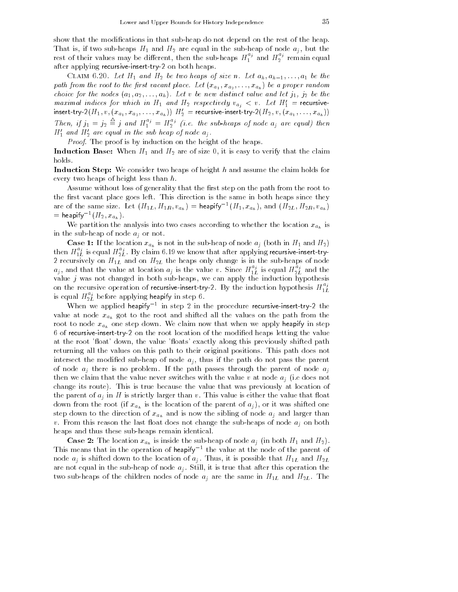show that the modifications in that subheap do not depend on the substitution on the substitution That is, if two sub-heaps  $H_1$  and  $H_2$  are equal in the sub-heap of node  $a_j$ , but the rest of their values may be different, then the sub-heaps  $H_1^{\gamma'}$  and  $H_2^{\gamma}$  remain equal after applying recursive-insert-try-2 on both heaps.

CLAIM 0.20. Let  $H_1$  and  $H_2$  be two heaps by size n. Let  $a_h$ ,  $a_{h-1}$ , ...,  $a_1$  be the pain from the root to the first vacant place. Let  $(x_{a_1}, x_{a_2}, \ldots, x_{a_h})$  be a proper random choice for the nodes  $(a_1, a_2, \ldots, a_h)$ . Let v be new distinct value and let  $j_1$ ,  $j_2$  be the maximal indices for which in  $H_1$  and  $H_2$  respectively  $v_{a_i} < v$ . Let  $H'_1$  = recursiveinsert-try-2 $(H_1, v, (x_{a_1}, x_{a_2}, \ldots, x_{a_h}))$   $H'_2$  = recursive-insert-try-2 $(H_2, v, (x_{a_1}, \ldots, x_{a_h}))$ Then, if  $j_1 = j_2 \equiv j$  and  $H_1^{u_1} = H_2^{u_2}$  (i.e. the sub-heaps of node  $a_j$  are equal) then  $H'_1$  and  $H'_2$  are equal in the sub heap of node  $a_j$ .

Proof- The proof is by induction on the height of the heaps-

Induction Base: When  $H_1$  and  $H_2$  are of size 0, it is easy to verify that the claim holds.

**Induction Step:** We consider two heaps of height  $h$  and assume the claim holds for every two heaps of height less than  $h$ .

Assume without loss of generality that the rst step on the path from the root to the direction place goes left- which will be controlled the same in a sample will be a same in  $\mathcal{S}$ are of the same size. Let  $(H_{1L}, H_{1R}, v_{a_h}) =$  neapify  $\lnot$   $(H_1, x_{a_h})$ , and  $(H_{2L}, H_{2R}, v_{a_h})$  $=$  neapiry  $\lceil H_2, x_{a_h}\rceil$ .

We partition the analysis into two cases according to whether the location  $x_{a_h}$  is in the sub-heap of node  $a_j$  or not.

**Case 1:** If the location  $x_{a_h}$  is not in the sub-heap of node  $a_j$  (both in  $H_1$  and  $H_2$ ) then  $H_{1L}^{-1}$  is equal  $H_{2L}^{-1}$ . By claim 6.19 we know that after applying recursive-insert-try-2 recursively on  $H_{1L}$  and on  $H_{2L}$  the heaps only change is in the sub-heaps of node  $a_j$ , and that the value at location  $a_j$  is the value v. Since  $H_{1L}^{-1}$  is equal  $H_{2L}^{-1}$  and the value  $j$  was not changed in both sub-heaps, we can apply the induction hypothesis on the recursive operation of recursive-insert-try-2. By the induction hypothesis  $H_{1L}^{\circ j}$ is equal  $H_{2L}^{\pi\pi}$  before applying heapity in step 6.  $^-$ 

when we applied neapify  $\tau$  in step  $Z$  in the procedure recursive-insert-try- $Z$  the value at node  $x_{a_h}$  got to the root and shifted all the values on the path from the root to node  $w_{a_k}$  one step down- we examined that when we apply heapify in step  $\blacksquare$  of recursiveinserttry on the root location of the modi ed heaps letting the value at the root 'float' down, the value 'floats' exactly along this previously shifted path returning all the values on this path to their original positions- This path does not intersect the modi ed subheap of node aj thus if the path do not pass the parent of node aj there is no problem- If the path passes through the parent of node aj then we claim that the value never switches with the value <sup>v</sup> at node aj i-e does not change its route- This is true because the value that was previously at location of the parent of aj in <sup>H</sup> is strictly larger than v- This value is either the value that oat down from the root (if  $x_{a_h}$  is the location of the parent of  $a_j$ ), or it was shifted one step down to the direction of  $x_{a_h}$  and is now the sibling of node  $a_j$  and larger than v- From this reason the last oat does not change the subheaps of node aj on both heaps and thus these sub-heaps remain identical.

**Case 2:** The location  $x_{a_h}$  is inside the sub-heap of node  $a_j$  (in both  $H_1$  and  $H_2$ ). This means that in the operation of heapify- the value at the node of the parent of  $\mathbf{r}_i$  is shifted down to the location of aj  $\mathbf{r}_i$  is is possible that  $\mathbf{r}_{i|L}$  and  $\mathbf{r}_{i|L}$ are not equal in the sub-heap or heap a<sub>j</sub>, still it is true that after this operation the  $t$  as subheaps of the children nodes of hour aj are the same in  $\mathbf{H}_{LL}$  and  $\mathbf{H}_{LL}$  -  $\mathbf{H}_{LL}$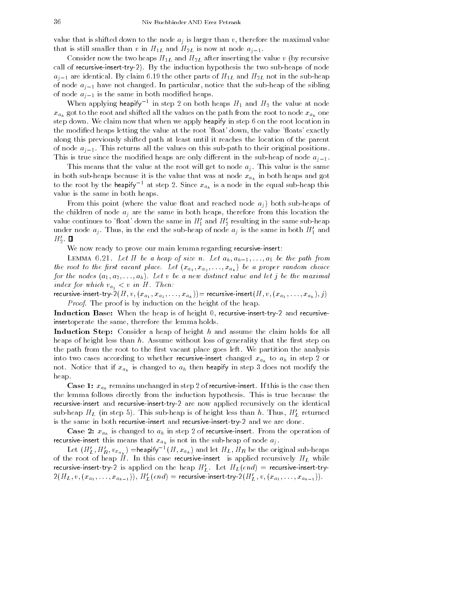value that is shifted down to the node  $a_j$  is larger than v, therefore the maximal value that is still smaller than  $\sigma$  in H<sub>L</sub> and H<sub>2</sub>L is now at node a<sub>j-1</sub>.

Consider now the two heaps  $H_{1L}$  and  $H_{2L}$  after inserting the value v (by recursive call of recursive induction  $\mu$  ,  $\mu$  the induction for the induction and two subsequents of nodes of nodes  $\mathbb{F}_1$  are identical-by claim of to the subspace of H<sub>LL</sub> and H<sub>2L</sub> not in the sub-heap of node  $a_j$  =  $1$  nate not changed: in particular, notice that the sub-medicine sibling of node aj- is the same in both modi ed heaps-

when applying neaphy  $\overline{\phantom{x}}$  in step 2 on both heaps  $H_1$  and  $H_2$  the value at node  $x_{a_h}$  got to the root and shifted all the values on the path from the root to node  $x_{a_h}$  one step down- We claim now that when we apply heapify in step on the root location in the modi ed heaps letting the value at the root oat down the value oats exactly along this previously shifted path at least until it reaches the location of the parent of node aj-j) **This returns all the values on this sub** puth to their original positions.  $\mathbf{r}$  is true since the modified heaps are only dimensions in the sub-heap of node  $\mathbf{a}_j = 1$ .

This means that the value at the root will get to node aj - This value is the same in both sub-heaps because it is the value that was at node  $x_{a_h}$  in both heaps and got to the root by the neapify  $\,$  -at step 2. Since  $x_{a_h}$  is a node in the equal sub-neap this  $\,$ value is the same in both heaps.

From this point (where the value float and reached node  $a_i$ ) both sub-heaps of the children of node  $a_i$  are the same in both heaps, therefore from this location the value continues to 'float' down the same in  $H'_1$  and  $H'_2$  resulting in the same sub-heap under node  $a_j$  . Thus, in the end the sub-heap of node  $a_j$  is the same in both  $H_1$  and  $\bm{\mathsf{\Pi}}_2.$  U

We now ready to prove our main lemma regarding recursive-insert:

**LEMMA** 0.21. Det if we a heap of size n. Det  $a_n, a_{n-1}, \ldots, a_1$  we the path from the root to the first vacant place. Let  $(x_{a_1}, x_{a_2}, \ldots, x_{a_h})$  be a proper random choice for the nodes  $(a_1, a_2, \ldots, a_h)$ . Let v be a new distinct value and let j be the maximal index for which  $v_{a_i} < v$  in H. Then:

recursive-insert-try-2(H,  $v$ ,  $(x_{a_1}, x_{a_2},..., x_{a_h})$ ) = recursive-insert $(H, v, (x_{a_1},..., x_{a_h}), j)$ Proof- The proof is by induction on the height of the heap-

**Induction Base:** When the heap is of height  $0$ , recursive-insert-try-2 and recursiveinsertoperate the same, therefore the lemma holds.

Induction Step: Consider a heap of height h and assume the claim holds for all rt aps of height less than h- list and the step of generally that the head step on the path from the root to the rst vacant place goes left- We partition the analysis into two cases according to whether recursive-insert changed  $x_{a_h}$  to  $a_h$  in step 2 or  $\mathbf{h}$  is the that if  $\mathbf{x}_a$  is changed to  $\mathbf{x}_b$  then heapify in step  $\mathbf{v}$  does not modify the heap.

 $\sum_{i=1}^{\infty}$  remains anomally can recep  $\equiv$  of recursive messer. If this is the case then the lemma follows directly from the induction hypothesis-from the induction hypothesis-from the induction  $\mathbf{f}$ recursive-insert and recursive-insert-try-2 are now applied recursively on the identical sub-neap  $H_L$  (in step 5). This sub-neap is of height less than  $n$ . Thus,  $H_L$  returned is the same in both recursive-insert and recursive-insert-try-2 and we are done.

 $\mathcal{L}$  is a changed to a<sub>h</sub> in step  $\mathcal{L}$  of recursive measurement operation of recursive-insert this means that  $x_{a_h}$  is not in the sub-heap of node  $a_j$ .

Let  $(H_L, H_R, v_{x_{a_h}})$  =neapify  $\,$  (H,  $x_{a_h}$ ) and let  $H_L, H_R$  be the original sub-neaps of the root of heap H- in this case recursive incore is applied recursively H<sub>L</sub> while recursive-insert-try-z is applied on the heap  $H_L$ . Let  $H_L(ena) \equiv$  recursive-insert-try- $2(H_L, v, (x_{a_1}, \ldots, x_{a_{h-1}})), H'_L(end) =$  recursive-insert-try- $2(H'_L, v, (x_{a_1}, \ldots, x_{a_{h-1}})).$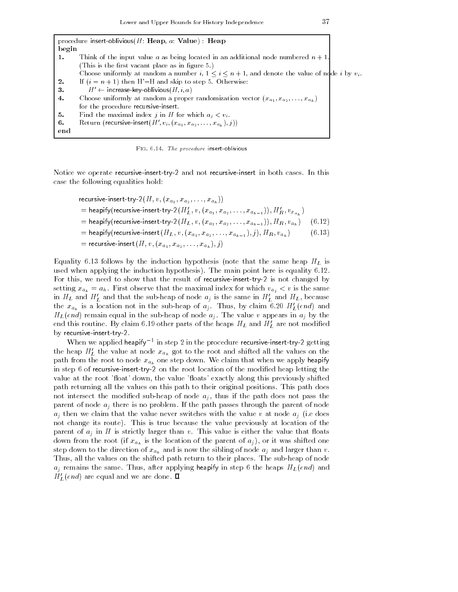$\mathfrak p$ rocedure insertoblivious H . Heap a value Heap begin $1.$  $\pm$  mink of the input value  $a$  as being located in an additional node numbered  $n+1.$ (This is the first vacant place as in figure  $5.$ ) Choose uniformly at random a number  $i, 1 \leq i \leq n+1$ , and denote the value of node i by  $v_i$ . - $\mu$  if  $\mu$   $\pm$  if then if  $\pm$  if and skip to step  $\sigma$ . Otherwise, 3.  $H^+ \leftarrow$  increase-key-obliviousi  $H^+ \cdot a +$ 4. Choose uniformly at random a proper randomization vector  $(x_{a_1}, x_{a_2}, \ldots, x_{a_h})$ for the procedure recursiveinsert 5. Find the maximal index j in H for which  $a_j < v_i$ . 6. Return (recursive-insert $(H_1, v_i, (x_{a_1}, x_{a_2}, \ldots, x_{a_h}), j)$ ) end



Notice we operate recursiveinserttry and not recursiveinsert in both cases- In this case the following equalities hold

recursive-insert-try-2(
$$
H, v, (x_{a_1}, x_{a_2},..., x_{a_h})
$$
)  
\n= heapify(recursive-insert-try-2( $H'_L, v, (x_{a_1}, x_{a_2},..., x_{a_{h-1}})$ ),  $H'_R, v_{x_{a_h}}$ )  
\n= heapify(recursive-insert-try-2( $H_L, v, (x_{a_1}, x_{a_2},..., x_{a_{h-1}})$ ),  $H_R, v_{a_h}$ ) (6.12)  
\n= heapify(recursive-insert( $H_L, v, (x_{a_1}, x_{a_2},..., x_{a_{h-1}})$ ,  $j$ ),  $H_R, v_{a_h}$ ) (6.13)  
\n= recursive-insert( $H, v, (x_{a_1}, x_{a_2},..., x_{a_h})$ ,  $j$ )

Equality - follows by the induction hypothesis note that the same heap HL is used when applying the induction is pointed, who incurs point is equality of the For this, we need to show that the result of recursive-insert-try-2 is not changed by setting  $x_{a_h} = a_h$ . Thist observe that the maximal index for which  $v_{a_i} \searrow v$  is the same in  $H_L$  and  $H'_L$  and that the sub-heap of node  $a_j$  is the same in  $H'_L$  and  $H_L$ , because the  $x_{a_h}$  is a location not in the sub-heap of  $a_j$ . Thus, by claim 0.20  $H_L(e \cdot na)$  and  $H_L$  (signal remain equal in the sub-heap of node aj -  $\pm$  no value  $v$  appears in aj  $v_j$  the end this routine. By claim 0.19 other parts of the heaps  $H_L$  and  $H_L$  are not modified by recursive-insert-try-2.

When we applied neapity - in step 2 in the procedure recursive-insert-try-2 getting the heap  $H'_L$  the value at node  $x_{a_h}$  got to the root and shifted all the values on the  $P$ ath from the root to node  $\omega_{a_{h}}$  one step down- we claim that when we apply weapify in step of recursiveinserttry on the root location of the modi ed heap letting the value at the root 'float' down, the value 'floats' exactly along this previously shifted path returning all the values on this path to their original positions- This path does not intersect the modi ed subheap of node aj thus if the path does not pass the parent of node aj there is no problem- If the path passes through the parent of node aj then we claim that the value never switches with the value <sup>v</sup> at node aj i-e does not change its route- This is true because the value previously at location of the parent of aj in <sup>H</sup> is strictly larger than v- This value is either the value that oats down from the root (if  $x_{a_h}$  is the location of the parent of  $a_j$ ), or it was shifted one step down to the direction of  $x_{a_h}$  and is now the sibling of node  $a_j$  and larger than v. Thus all the values on the shifted path return to their places- The subheap of node  $\mathbb{Z}_l$  remains the same. Thus, after applying heapify in step  $\mathbb{Z}_l$  from  $\mathbb{Z}_l$  (sites) which  $H_L'(end)$  are equal and we are done.  $\Box$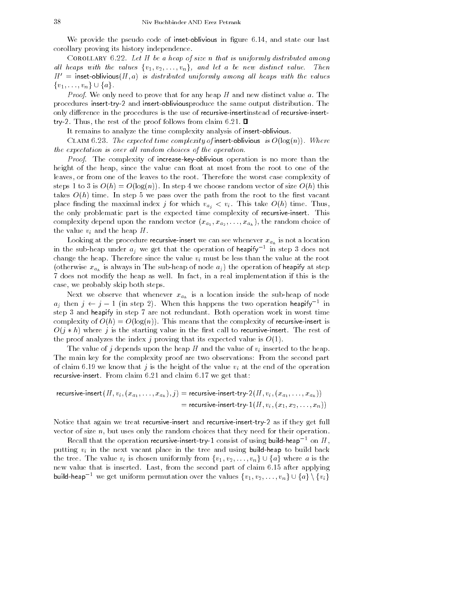we provide the parado code of inset factories in ingure correct and the state our corollary proving its history independence-

COROLLARY  $6.22$ . Let H be a heap of size n that is uniformly distributed among all heaps with the values  $\{v_1, v_2, \ldots, v_n\}$ , and let a be new distinct value. Then  $H =$  inset-oblivious(H,a) is alstributed uniformly among all heaps with the values  ${v_1, \ldots, v_n} \cup {a}.$ 

Proof- We only need to prove that for any heap <sup>H</sup> and new distinct value a- The procedures inserttry and insertobliviousproduce the same output distribution- The only difference in the procedures is the use of recursive-insertinstead of recursive-inserttry- Thus the rest of the proof follows from claim --

It remains to analyze the time complexity analysis of insert-oblivious.

CLAIM 6.23. The expected time complexity of insert-oblivious is  $O(\log(n))$ . Where the expectation is over all random choices of the operation.

Proof- The complexity of increasekeyoblivious operation is no more than the height of the heap, since the value can float at most from the root to one of the leaves or from one of the leaves to the root- Therefore the worst case complexity of steps **t** to a is O (iv) O (iv) (iv)), in step to size and indicate the size O (iv) this conditional takes Ohio stille in step 3 we pass over the path from the root to the filty weaks place miding the maximal index *f* for which  $v_{a_i} \leq v_i$ . This take  $O(n)$  time. Thus, the only problematic part is the expected time complexity of recursiveinsert- This complexity depend upon the random vector  $(x_{a_1}, x_{a_2}, \ldots, x_{a_h})$ , the random choice of the value  $v_i$  and the heap  $H$ .

Looking at the procedure recursive-insert we can see whenever  $x_{a_h}$  is not a location in the sub-neap under  $a_j$  we get that the operation of neapify-fin step 5 does not change the heap- Therefore since the value vi must be less than the value at the root (otherwise  $x_{a_h}$  is always in The sub-heap of node  $a_j$ ) the operation of heapify at step does not modify the heap as well- In fact in a real implementation if this is the case, we probably skip both steps.

Next we observe that whenever  $x_{a_h}$  is a location inside the sub-heap of node  $a_j$  then  $j \leftarrow j - 1$  (in step 2). When this happens the two operation heapify<sup>-1</sup> in step in step work in step in step are not redundant and the spinoster work in the step work in work in work in complexity of Ohio United that the complexity of recursive interests in the complexity of recursive interests  $O(j * h)$  where j is the starting value in the first call to recursive-insert. The rest of the proof analyzes the index j proving that its expected value is  $O(1)$ .

The value of j depends upon the heap H and the value of  $v_i$  inserted to the heap. The main key for the complexity proof are two observations: From the second part of claim over no hildness that j is the height of the value of the child operation recursive interest extended that contains the state of the control

recursive-insert
$$
(H, v_i, (x_{a_1}, \ldots, x_{a_h}), j)
$$
 = recursive-insert-try-2 $(H, v_i, (x_{a_1}, \ldots, x_{a_h}))$   
= recursive-insert-try-1 $(H, v_i, (x_1, x_2, \ldots, x_n))$ 

Notice that again we treat recursive-insert and recursive-insert-try-2 as if they get full vector of size  $n$ , but uses only the random choices that they need for their operation.

Recall that the operation recursive-insert-try-1 consist of using build-neap-  $\sim$  on  $H$  ,  $\sim$ putting  $v_i$  in the next vacant place in the tree and using build-heap to build back the tree. The value  $v_i$  is chosen uniformly from  $\{v_1, v_2, \ldots, v_n\} \cup \{a\}$  where a is the new value that is inserted-that is inserted-that is inserted-that is inserted-that is inserted-that is insertedbuild-heap<sup>-1</sup> we get uniform permutation over the values  $\{v_1, v_2, \ldots, v_n\} \cup \{a\} \setminus \{v_i\}$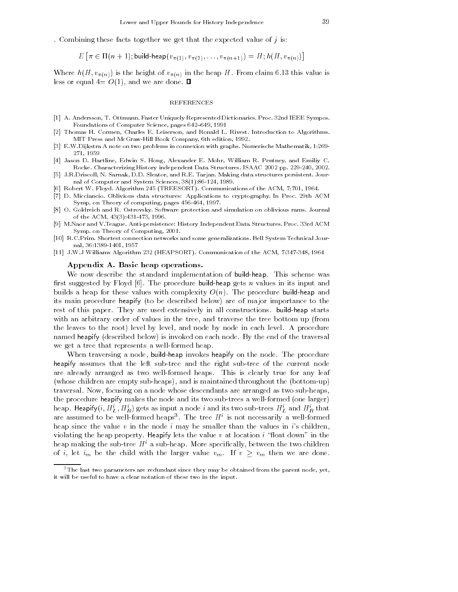- Combining these facts together we get that the expected value of <sup>j</sup> is

$$
E\left[\pi \in \Pi(n+1); \textsf{build-heap}(v_{\pi(1)}, v_{\pi(2)}, \ldots, v_{\pi(n+1)}) = H; h(H, v_{\pi(n)})\right]
$$

Where  $n(H, v_{\pi(n)})$  is the height of  $v_{\pi(n)}$  in the heap H. From claim 0.10 this value is less or equal O and we are done-

### REFERENCES

- A- Andersson T- Ottmann- Faster Uniquely Represented Dictionaries- Proc- nd IEEE Sympos-Foundations of Computer Science, pages 642-649, 1991
- Thomas H- Cormen Charles E- Leiserson and Ronald L- Rivest- Introduction to Algorithms-MIT Press and McGraw-Hill Book Company, 6th edition, 1992.
- E-W-Dijkstra A note on two problems in connexion with graphs- Numerische Mathematik 271, 1959
- $\blacksquare$  Hartline Emilion D-Mohr William R-tline Emilion R-tline  $\blacksquare$ Rocke- Characterizing History independent Data Structures- ISAAC pp- -
- , and a contract the structure of the structures and and recognized the structures persistent and the structure nal of Computer and System Sciences,  $38(1)$ :86-124, 1989.
- robert W-Communications of the Acm and the Acm and the Acm and the Acm of the Acm of the Acm and the Acm of th
- D- Micciancio- Oblivious data structures Applications to cryptography- In Proc- th ACM  $\mathcal{S}$  symp-dimensional pages in Theory of Computing pages in Theory of Computing pages in the computation of  $\mathcal{S}$
- O- Goldreich and R- Ostrovsky- Software protection and simulation on oblivious rams- Journal of the ACM,  $43(3):431-473$ , 1996.
- , and the structure independent of the Company Independent Data Structures- and the structures-  $\alpha$ symperium in Theory of Computing Indians
- R-C-Prim- Shortest connection networks and some generalizations- Bell System Technical Jour nal, 36:1389-1401, 1957
- J-W-J Williams Algorithm HEAPSORT- Communication of the ACM

#### A-Basic heap operations-beam operations-beam operations-beam operations-beam operations-beam operations-beam o

we now describe the standard implementation of buildings and building and building of buildings was a rist suggested by Floyd  $|v|$ . The procedure build number of its in its input and builds a heap for these values with complexity On- The procedure buildheap and its main procedure heapify (to be described below) are of major importance to the rest of this paper- They are used extensively in all constructions- buildheap starts with an arbitrary order of values in the tree and traverse the tree bottom up from the leaves to the root level by level and node by node in each level- A procedure named heapify garacters of the end of the end of the the theory is in the the traversal of the traversal we get a tree that represents a well-formed heap.

when traversing a nodel court with the procedure involved in the node-procedure and procedure heapify assumes that the left sub-tree and the right sub-tree of the current node are already already as two well-clearly true formulation is clearly true for any leady true for any leaf (whose children are empty sub-heaps), and is maintained throughout the  $(bottom-up)$ traversal- Now focusing on a node whose descendants are arranged as two subheaps the procedure heapify makes the node and its two sub-trees a well-formed (one larger) neap. Heaphy(*t*,  $H_L$ ,  $H_R$ ) gets as input a node *t* and its two sub-trees  $H_L$  and  $H_R$  that are assumed to be well-formed heaps . The tree  $\pi^+$  is not necessarily a well-formed heap since the value v in the node i may be smaller than the values in i's children, violating the heap property- Heapify lets the value <sup>v</sup> at location ioat down in the neap making the sub-tree  $\pi^+$  a sub-neap. More specifically, between the two children  $$ of i, let i<sub>m</sub> be the child with the larger value  $v_m$ . If  $v > v_m$  then we are done.

 $^3\mathrm{The}$  last two parameters are redundant since they may be obtained from the parent node, yet, it will be useful to have a clear notation of these two in the input-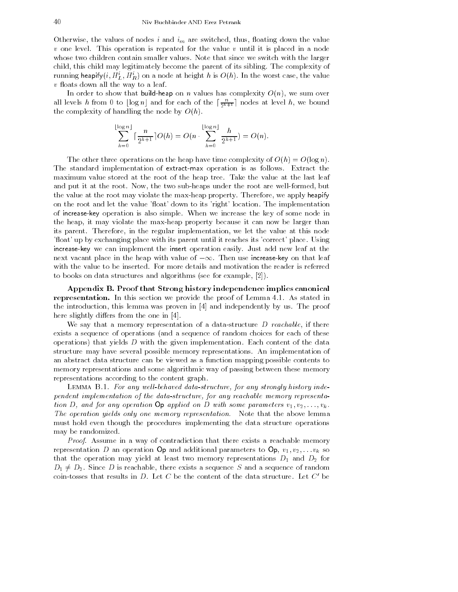Otherwise, the values of nodes i and  $i_m$  are switched, thus, floating down the value v one level- This operation is repeated for the value <sup>v</sup> until it is placed in a node whose two children contains smaller values- two children with the larger values  $\mathbf{A}$  shows child the child may legitimately become the parent of its sibling-the complexity of running heapify $(i, H_L, H_R)$  on a node at height h is  $O(n)$ . In the worst case, the value v howe as who was the way to a leaf-

In order to show that build-heap on n values has complexity  $O(n)$ , we sum over all levels  $h$  from 0 to  $\lfloor \log n \rfloor$  and for each of the  $\lceil \frac{n}{2^{h+1}} \rceil$  nodes at level  $h$ , we bound the complexity of handling the node by  $O(h)$ .

$$
\sum_{h=0}^{\lfloor \log n \rfloor} \lceil \frac{n}{2^{h+1}} \rceil O(h) = O\left(n \cdot \sum_{h=0}^{\lfloor \log n \rfloor} \frac{h}{2^{h+1}}\right) = O(n).
$$

The other three operations on the heap have time complexity of  $O(h) = O(\log n)$ . The standard implementation of extractmax operation is as follows- Extract the maximum value stored at the root of the heap tree- Take the value at the last leaf and put it at the root-self-the two sub-sub-self-the media is the root-sub-self-the root the value at the root may violate the maxheap property- Therefore we apply heapify on the root and let the value oat down to its right location- The implementation of increases in production in also simples the key of the simple-the production in the key of some increase th the heap it may violate the maxheap property because it can now be larger than its parent- Therefore in the regular implementation we let the value at this node or up by exchanging place with its parent until it reaches it reaches it reaches it reaches it reaches it reach increase in plane the implement the insert operations cannot a wat their complete at the complete next vacant place in the heap with value of  $-\infty$ . Then use increase-key on that leaf to books on data structures and algorithms (see for example,  $[2]$ ).

Appendix B- Proof that Strong history independence implies canonical representation- In this section- In this section- In this section we provide the problem of Lemma - In this section the introduction this lemma was proven in and independently by us- The proof here slightly differs from the one in  $[4]$ .

We say that a memory representation of a data-structure  $D$  reachable, if there exists a sequence of operations (and a sequence of random choices for each of these operations, that jields D with the given implementation, Data content of the data structure may have several possible memory representations- An implementation of an abstract data structure can be viewed as a function mapping possible contents to memory representations and some algorithmic way of passing between these memory representations according to the content graph.

**Lemma B.I. I** of any well condects data stracture, for any strongly history files pendent implementation of the datastructure for any reachable memory representa tion D, and for any operation  $\mathsf{Op}$  applied on D with some parameters  $v_1, v_2, \ldots, v_k$ The operation yields only one memory representation. Note that the above lemma must hold even though the procedures implementing the data structure operations may be randomized.

Proof- Assume in a way of contradiction that there exists a reachable memory representation D an operation  $\mathsf{Op}$  and additional parameters to  $\mathsf{Op}, v_1, v_2, \ldots v_k$  so that the operation may yield at least two memory representations  $D_1$  and  $D_2$  for  $D_1 \neq D_2$ . Since D is reachable, there exists a sequence S and a sequence of random coin-tosses that results in  $D_+$  Let  $\mathbb C$  be the content of the data structure. Let  $\mathbb C_-$  be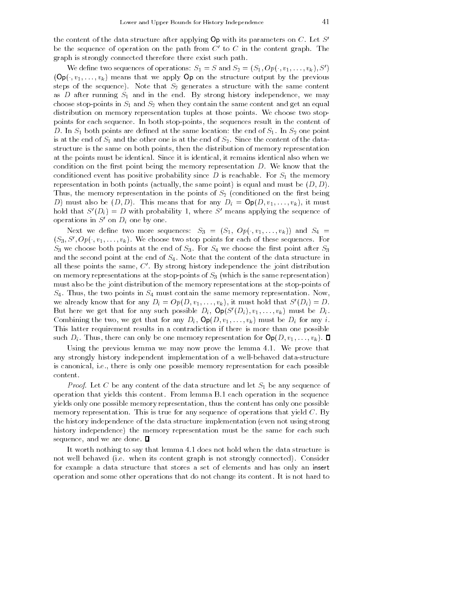the content of the data structure after applying  $\cup$ p with its parameters on  $\cup$  . Let  $S$ be the sequence of operation on the path from  $C$  to  $C$  in the content graph. The  $\blacksquare$ graph is strongly connected therefore there exist such path-

We define two sequences of operations:  $S_1 = S$  and  $S_2 = (S_1, Op(\cdot, v_1, \ldots, v_k), S')$  $(\mathsf{Op}(\cdot, v_1, \ldots, v_k))$  means that we apply  $\mathsf{Op}$  on the structure output by the previous steps of the sequence, from that  $\omega_2$  generates a structure with the same content as D are running  $\omega_1$  and in the end-  $\omega_j$  strong motor, independence, we may choose stop-points in  $S_1$  and  $S_2$  when they contain the same content and get an equal distribution on memory representation tuples at those points- We choose two stop points for each sequence- In both stoppoints the sequences result in the content of D- In S both points are de ned at the same location the end of S- In S one point  $\sim$  at the end of  $\sim$  and the other one is at the content of  $\sim$  . Since the data of  $\sim$ structure is the same on both points, then the distribution of memory representation at the points must be identical-it is identical-it is identical-it is identical-it remains identical also when condition on the met point being the memory representation is a we may the conditioned event has positive probability since D is reachable- For  $S_1$  and memory representation in both points (actually, the same point) is equal and must be  $(D, D)$ . Thus the memory representation in the points of S conditioned on the rst being D must also be  $(D, D)$ . This means that for any  $D_i = \mathsf{Op}(D, v_1, \ldots, v_k)$ , it must hold that  $S'(D_i) = D$  with probability 1, where S' means applying the sequence of operations in  $S'$  on  $D_i$  one by one.

Next we define two more sequences:  $S_3 = (S_1, Op(\cdot, v_1, \ldots, v_k))$  and  $S_4 =$  $(S_3, S', Op(\cdot, v_1, \ldots, v_k))$ . We choose two stop points for each of these sequences. For  $S$  we choose some points at the end of  $S$  . For  $S$  - we choose the first point after  $S$  and the second point we the end of  $\mathcal{O}_q$  -recovering the content of the data structure in all these points the same,  $\cup$  . By strong history independence the joint distribution on memory representations at the stop-points of  $S_3$  (which is the same representation) must also be the joint distribution of the memory representations at the stop-points of s the thus the two points in St must contain the same memory representation-results and the same of the same of we already know that for any  $D_i = Op(D, v_1, \ldots, v_k)$ , it must hold that  $S'(D_i) = D$ . But here we get that for any such possible  $D_i$ ,  $\mathsf{Op}(S'(D_i), v_1, \ldots, v_k)$  must be  $D_i$ . Combining the two, we get that for any  $D_i$ ,  $\mathsf{Op}(D, v_1, \ldots, v_k)$  must be  $D_i$  for any i. This latter requirement results in a contradiction if there is more than one possible such  $D_i$ . Thus, there can only be one memory representation for  $\mathbf{Op}(D, v_1, \ldots, v_k)$ .  $\blacksquare$ 

Using the previous lemma we may now prove the lemma -- We prove that any strongly history independent implementation of a wellbehaved datastructure e-canonical i-ly is one possible memory representation for each possible memory representation for each possible me content.

Proof- Let <sup>C</sup> be any content of the data structure and let S be any sequence of operation that yields this content - relation in this content operation in the sequence  $\sim$ yields only one possible memory representation, thus the content has only one possible memory representation. This is the red will seducite or operations that yield C- by the history independence of the data structure implementation (even not using strong history independence) the memory representation must be the same for each such sequence and we are done-

It words that lemma - does not hold when the data structure is say that lemma - does not hold when the data structure is not well behaved i-e- when its content graph is not strongly connected- Consider for example a data structure that stores a set of elements and has only an insert operation and some other operations that do not change its content- It is not hard to